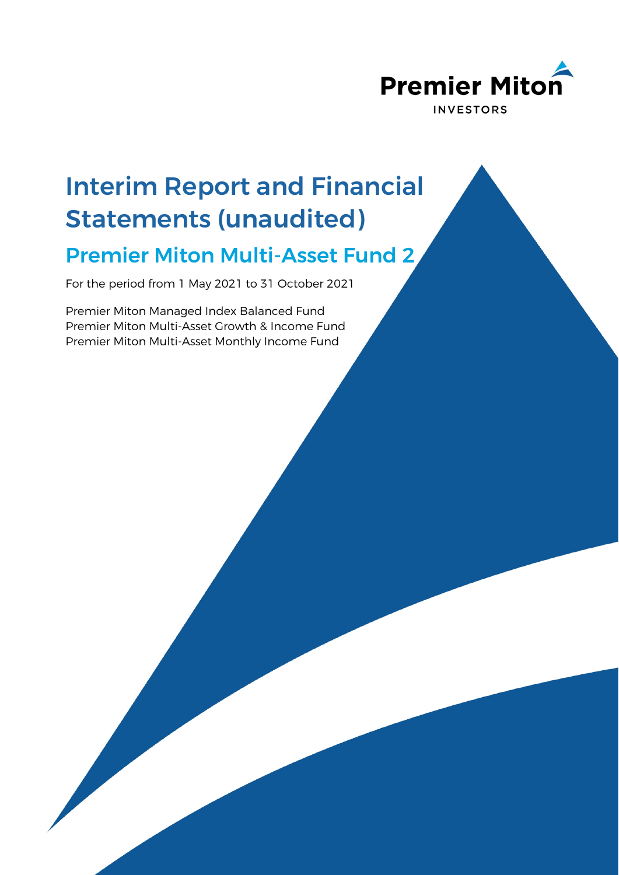

# Interim Report and Financial Statements (unaudited)

## Premier Miton Multi-Asset Fund 2

For the period from 1 May 2021 to 31 October 2021

Premier Miton Managed Index Balanced Fund Premier Miton Multi-Asset Growth & Income Fund Premier Miton Multi-Asset Monthly Income Fund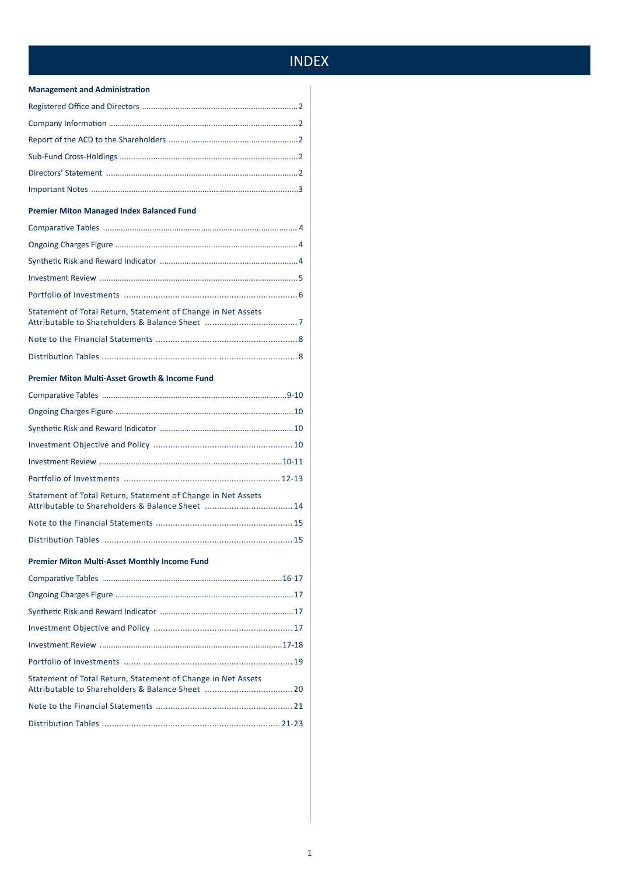## **INDEX**

## **Management and Administration**

## **Premier Miton Managed Index Balanced Fund**

| Statement of Total Return, Statement of Change in Net Assets |  |
|--------------------------------------------------------------|--|

## Premier Miton Multi-Asset Growth & Income Fund

| Statement of Total Return, Statement of Change in Net Assets<br>Attributable to Shareholders & Balance Sheet 14 |  |
|-----------------------------------------------------------------------------------------------------------------|--|

## **Premier Miton Multi-Asset Monthly Income Fund**

| Statement of Total Return, Statement of Change in Net Assets |  |
|--------------------------------------------------------------|--|
|                                                              |  |
|                                                              |  |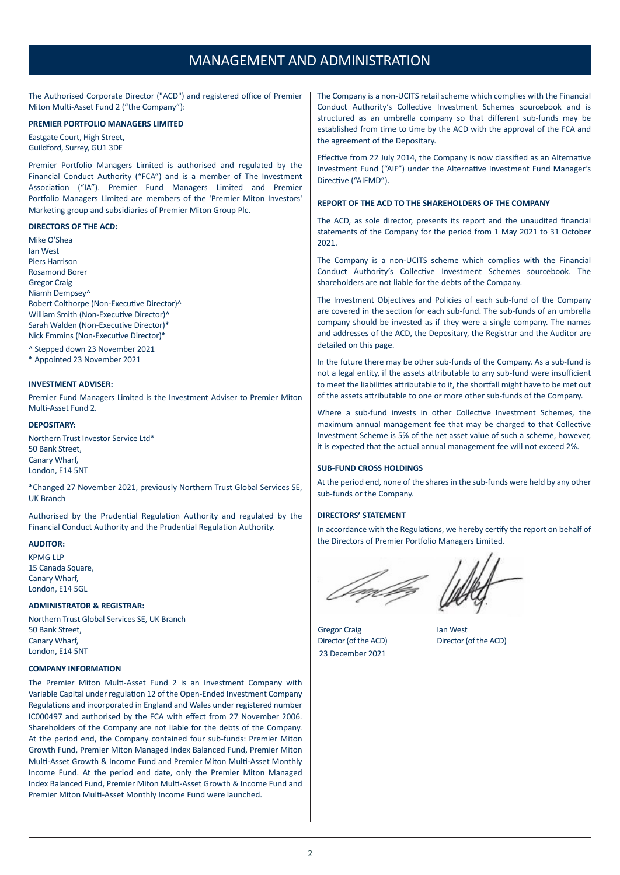## MANAGEMENT AND ADMINISTRATION

The Authorised Corporate Director ("ACD") and registered office of Premier Miton Multi-Asset Fund 2 ("the Company"):

## **PREMIER PORTFOLIO MANAGERS LIMITED**

Eastgate Court, High Street, Guildford, Surrey, GU1 3DE

Premier Portfolio Managers Limited is authorised and regulated by the Financial Conduct Authority ("FCA") and is a member of The Investment Association ("IA"). Premier Fund Managers Limited and Premier Portfolio Managers Limited are members of the 'Premier Miton Investors' Marketing group and subsidiaries of Premier Miton Group Plc.

#### **DIRECTORS OF THE ACD:**

Mike O'Shea Ian West Piers Harrison Rosamond Borer Gregor Craig Niamh Dempsey^ Robert Colthorpe (Non-Executive Director)^ William Smith (Non-Executive Director)^ Sarah Walden (Non-Executive Director)\* Nick Emmins (Non-Executive Director)\*

^ Stepped down 23 November 2021

\* Appointed 23 November 2021

## **INVESTMENT ADVISER:**

Premier Fund Managers Limited is the Investment Adviser to Premier Miton Multi-Asset Fund 2.

### **DEPOSITARY:**

Northern Trust Investor Service Ltd\* 50 Bank Street, Canary Wharf, London, E14 5NT

\*Changed 27 November 2021, previously Northern Trust Global Services SE, UK Branch

Authorised by the Prudential Regulation Authority and regulated by the Financial Conduct Authority and the Prudential Regulation Authority.

### **AUDITOR:**

KPMG LLP 15 Canada Square, Canary Wharf, London, E14 5GL

#### **ADMINISTRATOR & REGISTRAR:**

Northern Trust Global Services SE, UK Branch 50 Bank Street, Canary Wharf, London, E14 5NT

### **COMPANY INFORMATION**

The Premier Miton Multi-Asset Fund 2 is an Investment Company with Variable Capital under regulation 12 of the Open-Ended Investment Company Regulations and incorporated in England and Wales under registered number IC000497 and authorised by the FCA with effect from 27 November 2006. Shareholders of the Company are not liable for the debts of the Company. At the period end, the Company contained four sub-funds: Premier Miton Growth Fund, Premier Miton Managed Index Balanced Fund, Premier Miton Multi-Asset Growth & Income Fund and Premier Miton Multi-Asset Monthly Income Fund. At the period end date, only the Premier Miton Managed Index Balanced Fund, Premier Miton Multi-Asset Growth & Income Fund and Premier Miton Multi-Asset Monthly Income Fund were launched.

The Company is a non-UCITS retail scheme which complies with the Financial Conduct Authority's Collective Investment Schemes sourcebook and is structured as an umbrella company so that different sub-funds may be established from time to time by the ACD with the approval of the FCA and the agreement of the Depositary.

Effective from 22 July 2014, the Company is now classified as an Alternative Investment Fund ("AIF") under the Alternative Investment Fund Manager's Directive ("AIFMD").

### **REPORT OF THE ACD TO THE SHAREHOLDERS OF THE COMPANY**

The ACD, as sole director, presents its report and the unaudited financial statements of the Company for the period from 1 May 2021 to 31 October 2021.

The Company is a non-UCITS scheme which complies with the Financial Conduct Authority's Collective Investment Schemes sourcebook. The shareholders are not liable for the debts of the Company.

The Investment Objectives and Policies of each sub-fund of the Company are covered in the section for each sub-fund. The sub-funds of an umbrella company should be invested as if they were a single company. The names and addresses of the ACD, the Depositary, the Registrar and the Auditor are detailed on this page.

In the future there may be other sub-funds of the Company. As a sub-fund is not a legal entity, if the assets attributable to any sub-fund were insufficient to meet the liabilities attributable to it, the shortfall might have to be met out of the assets attributable to one or more other sub-funds of the Company.

Where a sub-fund invests in other Collective Investment Schemes, the maximum annual management fee that may be charged to that Collective Investment Scheme is 5% of the net asset value of such a scheme, however, it is expected that the actual annual management fee will not exceed 2%.

## **SUB-FUND CROSS HOLDINGS**

At the period end, none of the shares in the sub-funds were held by any other sub-funds or the Company.

## **DIRECTORS' STATEMENT**

In accordance with the Regulations, we hereby certify the report on behalf of the Directors of Premier Portfolio Managers Limited.

fn for

Gregor Craig **Ian West** Director (of the ACD) Director (of the ACD) 23 December 2021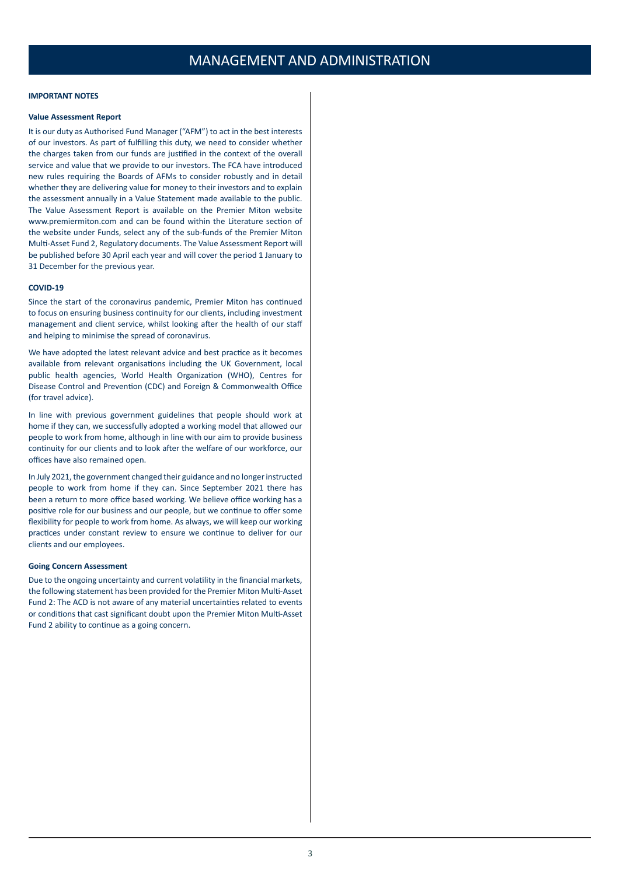### **IMPORTANT NOTES**

#### **Value Assessment Report**

It is our duty as Authorised Fund Manager ("AFM") to act in the best interests of our investors. As part of fulfilling this duty, we need to consider whether the charges taken from our funds are justified in the context of the overall service and value that we provide to our investors. The FCA have introduced new rules requiring the Boards of AFMs to consider robustly and in detail whether they are delivering value for money to their investors and to explain the assessment annually in a Value Statement made available to the public. The Value Assessment Report is available on the Premier Miton website www.premiermiton.com and can be found within the Literature section of the website under Funds, select any of the sub-funds of the Premier Miton Multi-Asset Fund 2, Regulatory documents. The Value Assessment Report will be published before 30 April each year and will cover the period 1 January to 31 December for the previous year.

#### **COVID-19**

Since the start of the coronavirus pandemic, Premier Miton has continued to focus on ensuring business continuity for our clients, including investment management and client service, whilst looking after the health of our staff and helping to minimise the spread of coronavirus.

We have adopted the latest relevant advice and best practice as it becomes available from relevant organisations including the UK Government, local public health agencies, World Health Organization (WHO), Centres for Disease Control and Prevention (CDC) and Foreign & Commonwealth Office (for travel advice).

In line with previous government guidelines that people should work at home if they can, we successfully adopted a working model that allowed our people to work from home, although in line with our aim to provide business continuity for our clients and to look after the welfare of our workforce, our offices have also remained open.

In July 2021, the government changed their guidance and no longer instructed people to work from home if they can. Since September 2021 there has been a return to more office based working. We believe office working has a positive role for our business and our people, but we continue to offer some flexibility for people to work from home. As always, we will keep our working practices under constant review to ensure we continue to deliver for our clients and our employees.

#### **Going Concern Assessment**

Due to the ongoing uncertainty and current volatility in the financial markets, the following statement has been provided for the Premier Miton Multi-Asset Fund 2: The ACD is not aware of any material uncertainties related to events or conditions that cast significant doubt upon the Premier Miton Multi-Asset Fund 2 ability to continue as a going concern.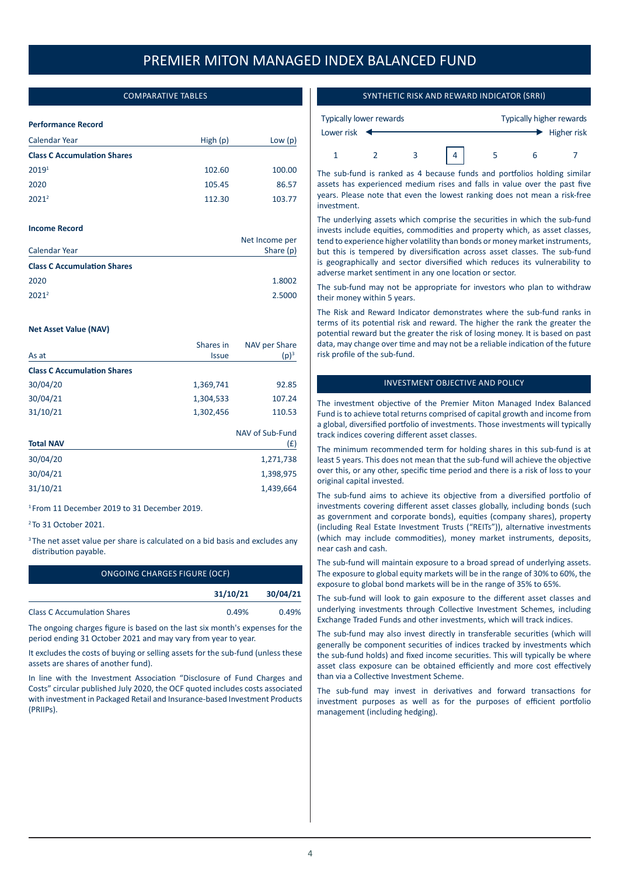## COMPARATIVE TABLES

### **Performance Record**

| High $(p)$ | Low $(p)$ |
|------------|-----------|
|            |           |
| 102.60     | 100.00    |
| 105.45     | 86.57     |
| 112.30     | 103.77    |
|            |           |

### **Income Record**

| Calendar Year                      | Net Income per<br>Share (p) |
|------------------------------------|-----------------------------|
| <b>Class C Accumulation Shares</b> |                             |
| 2020                               | 1.8002                      |
| $2021^2$                           | 2.5000                      |

#### **Net Asset Value (NAV)**

|                                    | Shares in    | NAV per Share<br>$(p)^3$ |  |
|------------------------------------|--------------|--------------------------|--|
| As at                              | <b>Issue</b> |                          |  |
| <b>Class C Accumulation Shares</b> |              |                          |  |
| 30/04/20                           | 1,369,741    | 92.85                    |  |
| 30/04/21                           | 1,304,533    | 107.24                   |  |
| 31/10/21                           | 1,302,456    | 110.53                   |  |

| <b>Total NAV</b> | NAV of Sub-Fund<br>(£) |
|------------------|------------------------|
| 30/04/20         | 1,271,738              |
| 30/04/21         | 1,398,975              |
| 31/10/21         | 1,439,664              |
|                  |                        |

<sup>1</sup> From 11 December 2019 to 31 December 2019.

<sup>2</sup> To 31 October 2021.

<sup>3</sup> The net asset value per share is calculated on a bid basis and excludes any distribution payable.

| ONGOING CHARGES FIGURE (OCF)       |          |          |
|------------------------------------|----------|----------|
|                                    | 31/10/21 | 30/04/21 |
| <b>Class C Accumulation Shares</b> | 0.49%    | 0.49%    |

The ongoing charges figure is based on the last six month's expenses for the period ending 31 October 2021 and may vary from year to year.

It excludes the costs of buying or selling assets for the sub-fund (unless these assets are shares of another fund).

In line with the Investment Association "Disclosure of Fund Charges and Costs" circular published July 2020, the OCF quoted includes costs associated with investment in Packaged Retail and Insurance-based Investment Products (PRIIPs).

## SYNTHETIC RISK AND REWARD INDICATOR (SRRI)

| Typically lower rewards |  |   |  | Typically higher rewards |                           |
|-------------------------|--|---|--|--------------------------|---------------------------|
| Lower risk              |  |   |  |                          | $\rightarrow$ Higher risk |
|                         |  | 3 |  |                          |                           |

The sub-fund is ranked as 4 because funds and portfolios holding similar assets has experienced medium rises and falls in value over the past five years. Please note that even the lowest ranking does not mean a risk-free investment.

The underlying assets which comprise the securities in which the sub-fund invests include equities, commodities and property which, as asset classes, tend to experience higher volatility than bonds or money market instruments, but this is tempered by diversification across asset classes. The sub-fund is geographically and sector diversified which reduces its vulnerability to adverse market sentiment in any one location or sector.

The sub-fund may not be appropriate for investors who plan to withdraw their money within 5 years.

The Risk and Reward Indicator demonstrates where the sub-fund ranks in terms of its potential risk and reward. The higher the rank the greater the potential reward but the greater the risk of losing money. It is based on past data, may change over time and may not be a reliable indication of the future risk profile of the sub-fund.

## INVESTMENT OBJECTIVE AND POLICY

The investment objective of the Premier Miton Managed Index Balanced Fund is to achieve total returns comprised of capital growth and income from a global, diversified portfolio of investments. Those investments will typically track indices covering different asset classes.

The minimum recommended term for holding shares in this sub-fund is at least 5 years. This does not mean that the sub-fund will achieve the objective over this, or any other, specific time period and there is a risk of loss to your original capital invested.

The sub-fund aims to achieve its objective from a diversified portfolio of investments covering different asset classes globally, including bonds (such as government and corporate bonds), equities (company shares), property (including Real Estate Investment Trusts ("REITs")), alternative investments (which may include commodities), money market instruments, deposits, near cash and cash.

The sub-fund will maintain exposure to a broad spread of underlying assets. The exposure to global equity markets will be in the range of 30% to 60%, the exposure to global bond markets will be in the range of 35% to 65%.

The sub-fund will look to gain exposure to the different asset classes and underlying investments through Collective Investment Schemes, including Exchange Traded Funds and other investments, which will track indices.

The sub-fund may also invest directly in transferable securities (which will generally be component securities of indices tracked by investments which the sub-fund holds) and fixed income securities. This will typically be where asset class exposure can be obtained efficiently and more cost effectively than via a Collective Investment Scheme.

The sub-fund may invest in derivatives and forward transactions for investment purposes as well as for the purposes of efficient portfolio management (including hedging).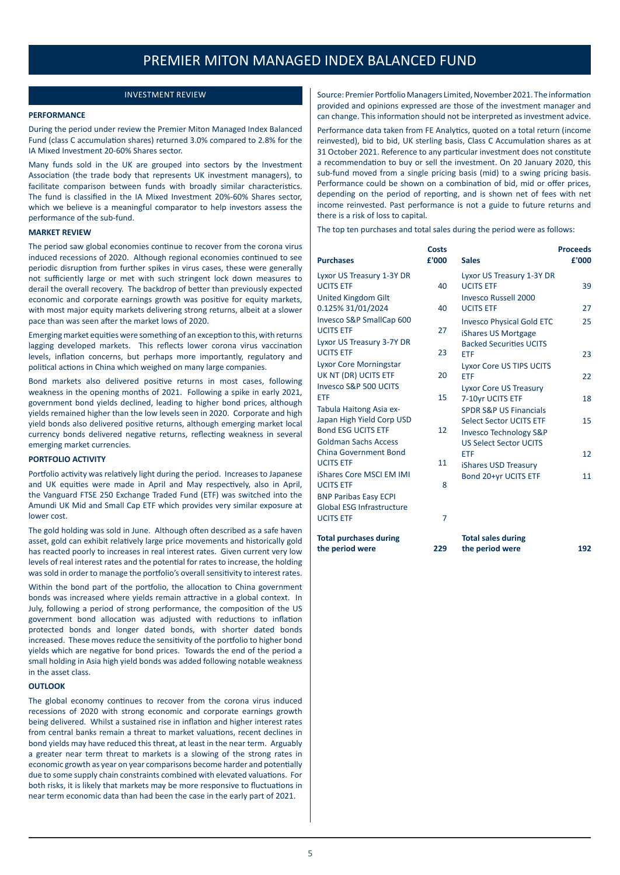## INVESTMENT REVIEW

### **PERFORMANCE**

During the period under review the Premier Miton Managed Index Balanced Fund (class C accumulation shares) returned 3.0% compared to 2.8% for the IA Mixed Investment 20-60% Shares sector.

Many funds sold in the UK are grouped into sectors by the Investment Association (the trade body that represents UK investment managers), to facilitate comparison between funds with broadly similar characteristics. The fund is classified in the IA Mixed Investment 20%-60% Shares sector, which we believe is a meaningful comparator to help investors assess the performance of the sub-fund.

### **MARKET REVIEW**

The period saw global economies continue to recover from the corona virus induced recessions of 2020. Although regional economies continued to see periodic disruption from further spikes in virus cases, these were generally not sufficiently large or met with such stringent lock down measures to derail the overall recovery. The backdrop of better than previously expected economic and corporate earnings growth was positive for equity markets, with most major equity markets delivering strong returns, albeit at a slower pace than was seen after the market lows of 2020.

Emerging market equities were something of an exception to this, with returns lagging developed markets. This reflects lower corona virus vaccination levels, inflation concerns, but perhaps more importantly, regulatory and political actions in China which weighed on many large companies.

Bond markets also delivered positive returns in most cases, following weakness in the opening months of 2021. Following a spike in early 2021, government bond yields declined, leading to higher bond prices, although yields remained higher than the low levels seen in 2020. Corporate and high yield bonds also delivered positive returns, although emerging market local currency bonds delivered negative returns, reflecting weakness in several emerging market currencies.

### **PORTFOLIO ACTIVITY**

Portfolio activity was relatively light during the period. Increases to Japanese and UK equities were made in April and May respectively, also in April, the Vanguard FTSE 250 Exchange Traded Fund (ETF) was switched into the Amundi UK Mid and Small Cap ETF which provides very similar exposure at lower cost.

The gold holding was sold in June. Although often described as a safe haven asset, gold can exhibit relatively large price movements and historically gold has reacted poorly to increases in real interest rates. Given current very low levels of real interest rates and the potential for rates to increase, the holding was sold in order to manage the portfolio's overall sensitivity to interest rates.

Within the bond part of the portfolio, the allocation to China government bonds was increased where yields remain attractive in a global context. In July, following a period of strong performance, the composition of the US government bond allocation was adjusted with reductions to inflation protected bonds and longer dated bonds, with shorter dated bonds increased. These moves reduce the sensitivity of the portfolio to higher bond yields which are negative for bond prices. Towards the end of the period a small holding in Asia high yield bonds was added following notable weakness in the asset class.

## **OUTLOOK**

The global economy continues to recover from the corona virus induced recessions of 2020 with strong economic and corporate earnings growth being delivered. Whilst a sustained rise in inflation and higher interest rates from central banks remain a threat to market valuations, recent declines in bond yields may have reduced this threat, at least in the near term. Arguably a greater near term threat to markets is a slowing of the strong rates in economic growth as year on year comparisons become harder and potentially due to some supply chain constraints combined with elevated valuations. For both risks, it is likely that markets may be more responsive to fluctuations in near term economic data than had been the case in the early part of 2021.

Source: Premier Portfolio Managers Limited, November 2021. The information provided and opinions expressed are those of the investment manager and can change. This information should not be interpreted as investment advice.

Performance data taken from FE Analytics, quoted on a total return (income reinvested), bid to bid, UK sterling basis, Class C Accumulation shares as at 31 October 2021. Reference to any particular investment does not constitute a recommendation to buy or sell the investment. On 20 January 2020, this sub-fund moved from a single pricing basis (mid) to a swing pricing basis. Performance could be shown on a combination of bid, mid or offer prices, depending on the period of reporting, and is shown net of fees with net income reinvested. Past performance is not a guide to future returns and there is a risk of loss to capital.

The top ten purchases and total sales during the period were as follows:

| <b>Purchases</b>                                                                                                 | <b>Costs</b><br>£'000 | <b>Sales</b>                                                                                                                       | <b>Proceeds</b><br>£'000 |
|------------------------------------------------------------------------------------------------------------------|-----------------------|------------------------------------------------------------------------------------------------------------------------------------|--------------------------|
| Lyxor US Treasury 1-3Y DR<br><b>UCITS ETF</b>                                                                    | 40                    | Lyxor US Treasury 1-3Y DR<br><b>UCITS ETF</b>                                                                                      | 39                       |
| <b>United Kingdom Gilt</b><br>0.125% 31/01/2024                                                                  | 40                    | <b>Invesco Russell 2000</b><br><b>UCITS ETF</b>                                                                                    | 27                       |
| Invesco S&P SmallCap 600<br><b>UCITS ETF</b><br>Lyxor US Treasury 3-7Y DR                                        | 27                    | <b>Invesco Physical Gold ETC</b><br>iShares US Mortgage<br><b>Backed Securities UCITS</b>                                          | 25                       |
| <b>UCITS ETF</b>                                                                                                 | 23                    | <b>ETF</b>                                                                                                                         | 23                       |
| Lyxor Core Morningstar<br>UK NT (DR) UCITS ETF                                                                   | 20                    | <b>Lyxor Core US TIPS UCITS</b><br><b>ETF</b>                                                                                      | 22                       |
| Invesco S&P 500 UCITS<br><b>ETF</b>                                                                              | 15                    | Lyxor Core US Treasury<br>7-10yr UCITS ETF                                                                                         | 18                       |
| Tabula Haitong Asia ex-<br>Japan High Yield Corp USD<br><b>Bond ESG UCITS ETF</b><br><b>Goldman Sachs Access</b> | 12                    | <b>SPDR S&amp;P US Financials</b><br>Select Sector UCITS ETF<br><b>Invesco Technology S&amp;P</b><br><b>US Select Sector UCITS</b> | 15                       |
| China Government Bond<br><b>UCITS ETF</b>                                                                        | 11                    | <b>ETF</b>                                                                                                                         | 12                       |
| iShares Core MSCI EM IMI<br><b>UCITS ETF</b>                                                                     | 8                     | iShares USD Treasury<br>Bond 20+yr UCITS ETF                                                                                       | 11                       |
| <b>BNP Paribas Easy ECPI</b><br>Global ESG Infrastructure<br><b>UCITS ETF</b>                                    | $\overline{7}$        |                                                                                                                                    |                          |
| <b>Total purchases during</b><br>the period were                                                                 | 229                   | <b>Total sales during</b><br>the period were                                                                                       | 192                      |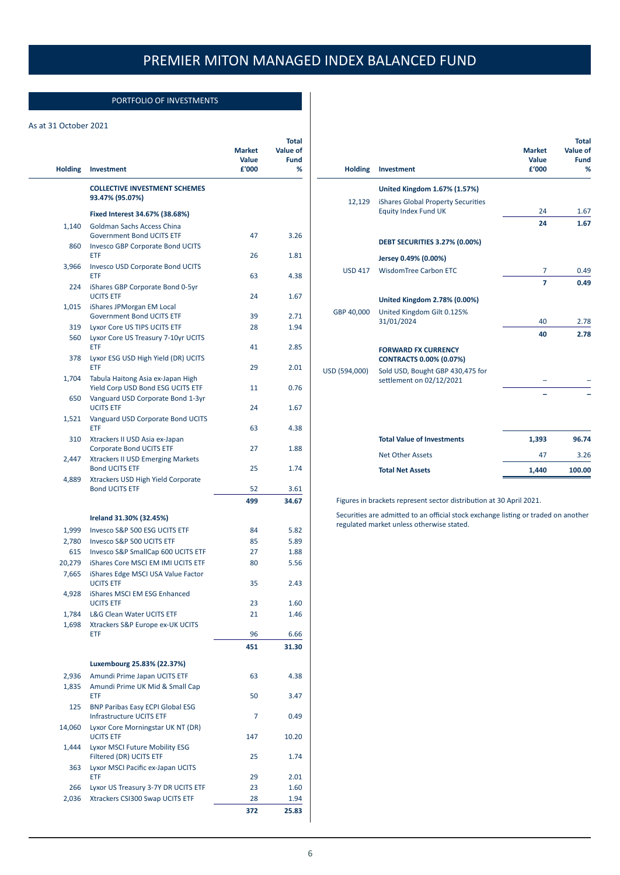## PORTFOLIO OF INVESTMENTS

## As at 31 October 2021

| <b>Holding</b> | Investment                                                                  | <b>Market</b><br>Value<br>£'000 | <b>Total</b><br>Value of<br><b>Fund</b><br>% |
|----------------|-----------------------------------------------------------------------------|---------------------------------|----------------------------------------------|
|                |                                                                             |                                 |                                              |
|                | <b>COLLECTIVE INVESTMENT SCHEMES</b><br>93.47% (95.07%)                     |                                 |                                              |
|                | Fixed Interest 34.67% (38.68%)                                              |                                 |                                              |
| 1,140          | Goldman Sachs Access China                                                  |                                 |                                              |
| 860            | <b>Government Bond UCITS ETF</b><br><b>Invesco GBP Corporate Bond UCITS</b> | 47                              | 3.26                                         |
|                | ETF                                                                         | 26                              | 1.81                                         |
| 3,966          | <b>Invesco USD Corporate Bond UCITS</b>                                     |                                 |                                              |
| 224            | <b>ETF</b><br>iShares GBP Corporate Bond 0-5yr                              | 63                              | 4.38                                         |
|                | <b>UCITS ETF</b>                                                            | 24                              | 1.67                                         |
| 1,015          | iShares JPMorgan EM Local                                                   |                                 |                                              |
|                | <b>Government Bond UCITS ETF</b>                                            | 39                              | 2.71                                         |
| 319            | Lyxor Core US TIPS UCITS ETF                                                | 28                              | 1.94                                         |
| 560            | Lyxor Core US Treasury 7-10yr UCITS<br>ETF                                  | 41                              | 2.85                                         |
| 378            | Lyxor ESG USD High Yield (DR) UCITS                                         |                                 |                                              |
|                | ETF                                                                         | 29                              | 2.01                                         |
| 1,704          | Tabula Haitong Asia ex-Japan High                                           |                                 |                                              |
|                | Yield Corp USD Bond ESG UCITS ETF                                           | 11                              | 0.76                                         |
| 650            | Vanguard USD Corporate Bond 1-3yr<br><b>UCITS ETF</b>                       | 24                              | 1.67                                         |
| 1,521          | Vanguard USD Corporate Bond UCITS                                           |                                 |                                              |
|                | ETF                                                                         | 63                              | 4.38                                         |
| 310            | Xtrackers II USD Asia ex-Japan                                              |                                 |                                              |
|                | <b>Corporate Bond UCITS ETF</b>                                             | 27                              | 1.88                                         |
| 2,447          | <b>Xtrackers II USD Emerging Markets</b><br><b>Bond UCITS ETF</b>           | 25                              | 1.74                                         |
| 4,889          | Xtrackers USD High Yield Corporate                                          |                                 |                                              |
|                | <b>Bond UCITS ETF</b>                                                       | 52                              | 3.61                                         |
|                |                                                                             | 499                             | 34.67                                        |
|                | Ireland 31.30% (32.45%)                                                     |                                 |                                              |
| 1,999          | Invesco S&P 500 ESG UCITS ETF                                               | 84                              | 5.82                                         |
| 2,780          | Invesco S&P 500 UCITS ETF                                                   | 85                              | 5.89                                         |
| 615            | Invesco S&P SmallCap 600 UCITS ETF                                          | 27                              | 1.88                                         |
| 20,279         | iShares Core MSCI EM IMI UCITS ETF                                          | 80                              | 5.56                                         |
| 7,665          | iShares Edge MSCI USA Value Factor                                          |                                 |                                              |
|                | <b>UCITS ETF</b>                                                            | 35                              | 2.43                                         |
| 4,928          | iShares MSCI EM ESG Enhanced                                                |                                 |                                              |
| 1,784          | <b>UCITS ETF</b><br>L&G Clean Water UCITS ETF                               | 23<br>21                        | 1.60<br>1.46                                 |
| 1,698          | Xtrackers S&P Europe ex-UK UCITS                                            |                                 |                                              |
|                | ETF                                                                         | 96                              | 6.66                                         |
|                |                                                                             | 451                             | 31.30                                        |
|                |                                                                             |                                 |                                              |
|                | Luxembourg 25.83% (22.37%)                                                  |                                 |                                              |
| 2,936<br>1,835 | Amundi Prime Japan UCITS ETF<br>Amundi Prime UK Mid & Small Cap             | 63                              | 4.38                                         |
|                | ETF                                                                         | 50                              | 3.47                                         |
| 125            | <b>BNP Paribas Easy ECPI Global ESG</b>                                     |                                 |                                              |
|                | <b>Infrastructure UCITS ETF</b>                                             | 7                               | 0.49                                         |
| 14,060         | Lyxor Core Morningstar UK NT (DR)                                           |                                 |                                              |
| 1,444          | <b>UCITS ETF</b><br>Lyxor MSCI Future Mobility ESG                          | 147                             | 10.20                                        |
|                | Filtered (DR) UCITS ETF                                                     | 25                              | 1.74                                         |
| 363            | Lyxor MSCI Pacific ex-Japan UCITS                                           |                                 |                                              |
|                | ETF                                                                         | 29                              | 2.01                                         |
| 266            | Lyxor US Treasury 3-7Y DR UCITS ETF                                         | 23                              | 1.60                                         |
| 2,036          | Xtrackers CSI300 Swap UCITS ETF                                             | 28                              | 1.94                                         |
|                |                                                                             | 372                             | 25.83                                        |

|                                                                               | <b>Market</b><br>Value | <b>Total</b><br>Value of<br><b>Fund</b> |
|-------------------------------------------------------------------------------|------------------------|-----------------------------------------|
| <b>Holding</b><br>Investment                                                  | £'000                  | %                                       |
| United Kingdom 1.67% (1.57%)                                                  |                        |                                         |
| 12,129<br>iShares Global Property Securities<br>Equity Index Fund UK          | 24                     | 1.67                                    |
|                                                                               | 24                     | 1.67                                    |
| <b>DEBT SECURITIES 3.27% (0.00%)</b>                                          |                        |                                         |
| Jersey 0.49% (0.00%)                                                          |                        |                                         |
| <b>WisdomTree Carbon ETC</b><br><b>USD 417</b>                                | 7                      | 0.49                                    |
|                                                                               | 7                      | 0.49                                    |
| United Kingdom 2.78% (0.00%)                                                  |                        |                                         |
| GBP 40,000<br>United Kingdom Gilt 0.125%<br>31/01/2024                        | 40                     | 2.78                                    |
|                                                                               | 40                     | 2.78                                    |
| <b>FORWARD FX CURRENCY</b><br><b>CONTRACTS 0.00% (0.07%)</b>                  |                        |                                         |
| USD (594,000)<br>Sold USD, Bought GBP 430,475 for<br>settlement on 02/12/2021 |                        |                                         |
|                                                                               |                        |                                         |
|                                                                               |                        |                                         |
| <b>Total Value of Investments</b>                                             | 1,393                  | 96.74                                   |
| <b>Net Other Assets</b>                                                       | 47                     | 3.26                                    |
| <b>Total Net Assets</b>                                                       | 1,440                  | 100.00                                  |

Figures in brackets represent sector distribution at 30 April 2021.

Securities are admitted to an official stock exchange listing or traded on another regulated market unless otherwise stated.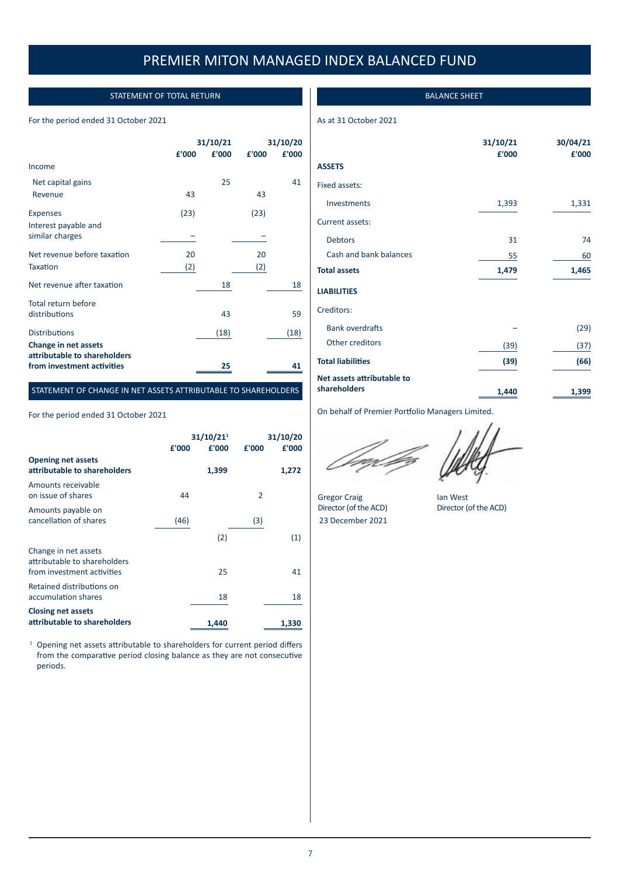## STATEMENT OF TOTAL RETURN

## For the period ended 31 October 2021

|                                                      | 31/10/21 |       | 31/10/20 |       |
|------------------------------------------------------|----------|-------|----------|-------|
|                                                      | £'000    | £'000 | £'000    | £'000 |
| Income                                               |          |       |          |       |
| Net capital gains                                    |          | 25    |          | 41    |
| Revenue                                              | 43       |       | 43       |       |
| <b>Expenses</b>                                      | (23)     |       | (23)     |       |
| Interest payable and<br>similar charges              |          |       |          |       |
| Net revenue before taxation                          | 20       |       | 20       |       |
| <b>Taxation</b>                                      | (2)      |       | (2)      |       |
| Net revenue after taxation                           |          | 18    |          | 18    |
| Total return before                                  |          |       |          |       |
| distributions                                        |          | 43    |          | 59    |
| <b>Distributions</b>                                 |          | (18)  |          | (18)  |
| Change in net assets<br>attributable to shareholders |          |       |          |       |
| from investment activities                           |          | 25    |          | 41    |

## STATEMENT OF CHANGE IN NET ASSETS ATTRIBUTABLE TO SHAREHOLDERS

For the period ended 31 October 2021

|                                                                                    | £'000 | 31/10/21 <sup>1</sup><br>£'000 | £'000          | 31/10/20<br>£'000 |
|------------------------------------------------------------------------------------|-------|--------------------------------|----------------|-------------------|
| <b>Opening net assets</b><br>attributable to shareholders                          |       | 1,399                          |                | 1,272             |
| Amounts receivable<br>on issue of shares                                           | 44    |                                | $\overline{2}$ |                   |
| Amounts payable on<br>cancellation of shares                                       | (46)  |                                | (3)            |                   |
|                                                                                    |       | (2)                            |                | (1)               |
| Change in net assets<br>attributable to shareholders<br>from investment activities |       | 25                             |                | 41                |
| Retained distributions on<br>accumulation shares                                   |       | 18                             |                | 18                |
| <b>Closing net assets</b><br>attributable to shareholders                          |       | 1,440                          |                | 1,330             |

<sup>1</sup> Opening net assets attributable to shareholders for current period differs from the comparative period closing balance as they are not consecutive periods.

## BALANCE SHEET

As at 31 October 2021

|                            | 31/10/21<br>£'000 | 30/04/21<br>£'000 |
|----------------------------|-------------------|-------------------|
| <b>ASSETS</b>              |                   |                   |
| Fixed assets:              |                   |                   |
| Investments                | 1,393             | 1,331             |
| Current assets:            |                   |                   |
| <b>Debtors</b>             | 31                | 74                |
| Cash and bank balances     | 55                | 60                |
| <b>Total assets</b>        | 1,479             | 1,465             |
| <b>LIABILITIES</b>         |                   |                   |
| Creditors:                 |                   |                   |
| <b>Bank overdrafts</b>     |                   | (29)              |
| Other creditors            | (39)              | (37)              |
| <b>Total liabilities</b>   | (39)              | (66)              |
| Net assets attributable to |                   |                   |
| shareholders               | 1,440             | 1,399             |

On behalf of Premier Portfolio Managers Limited.

Gregor Craig lan West<br>Director (of the ACD) Director (of 23 December 2021

Director (of the ACD)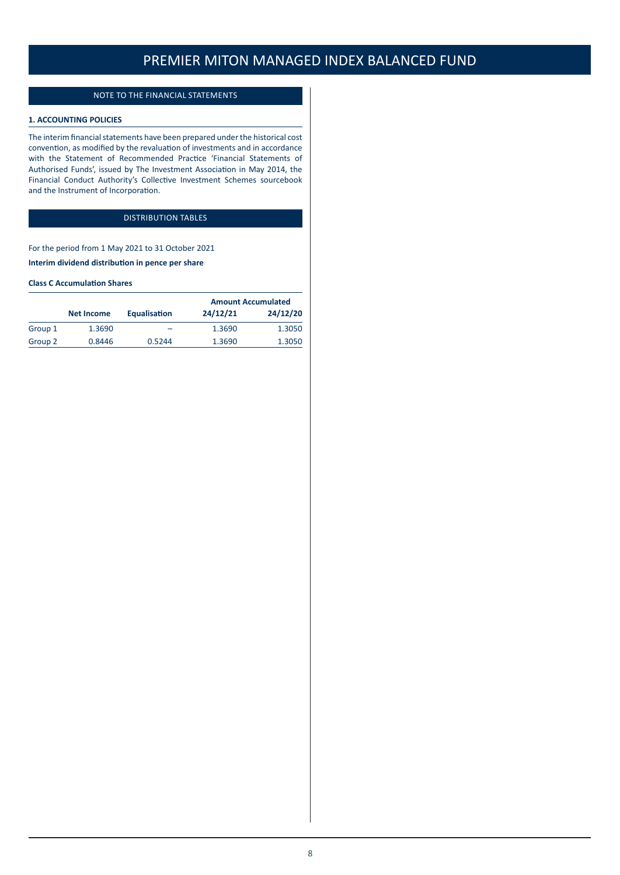## NOTE TO THE FINANCIAL STATEMENTS

## **1. ACCOUNTING POLICIES**

The interim financial statements have been prepared under the historical cost convention, as modified by the revaluation of investments and in accordance with the Statement of Recommended Practice 'Financial Statements of Authorised Funds', issued by The Investment Association in May 2014, the Financial Conduct Authority's Collective Investment Schemes sourcebook and the Instrument of Incorporation.

## DISTRIBUTION TABLES

For the period from 1 May 2021 to 31 October 2021 **Interim dividend distribution in pence per share**

### **Class C Accumulation Shares**

|         |                   |              | <b>Amount Accumulated</b> |          |
|---------|-------------------|--------------|---------------------------|----------|
|         | <b>Net Income</b> | Equalisation | 24/12/21                  | 24/12/20 |
| Group 1 | 1.3690            | -            | 1.3690                    | 1.3050   |
| Group 2 | 0.8446            | 0.5244       | 1.3690                    | 1.3050   |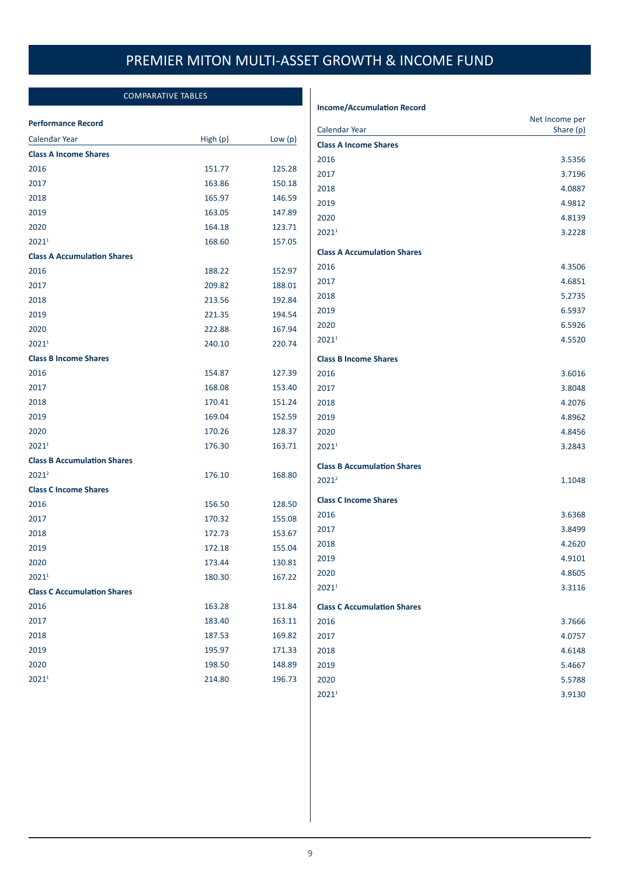## COMPARATIVE TABLES

### **Performance Record**

| <b>Calendar Year</b>               | High (p) | Low $(p)$ |
|------------------------------------|----------|-----------|
| <b>Class A Income Shares</b>       |          |           |
| 2016                               | 151.77   | 125.28    |
| 2017                               | 163.86   | 150.18    |
| 2018                               | 165.97   | 146.59    |
| 2019                               | 163.05   | 147.89    |
| 2020                               | 164.18   | 123.71    |
| 20211                              | 168.60   | 157.05    |
| <b>Class A Accumulation Shares</b> |          |           |
| 2016                               | 188.22   | 152.97    |
| 2017                               | 209.82   | 188.01    |
| 2018                               | 213.56   | 192.84    |
| 2019                               | 221.35   | 194.54    |
| 2020                               | 222.88   | 167.94    |
| 20211                              | 240.10   | 220.74    |
| <b>Class B Income Shares</b>       |          |           |
| 2016                               | 154.87   | 127.39    |
| 2017                               | 168.08   | 153.40    |
| 2018                               | 170.41   | 151.24    |
| 2019                               | 169.04   | 152.59    |
| 2020                               | 170.26   | 128.37    |
| 2021 <sup>1</sup>                  | 176.30   | 163.71    |
| <b>Class B Accumulation Shares</b> |          |           |
| $2021^2$                           | 176.10   | 168.80    |
| <b>Class C Income Shares</b>       |          |           |
| 2016                               | 156.50   | 128.50    |
| 2017                               | 170.32   | 155.08    |
| 2018                               | 172.73   | 153.67    |
| 2019                               | 172.18   | 155.04    |
| 2020                               | 173.44   | 130.81    |
| 2021 <sup>1</sup>                  | 180.30   | 167.22    |
| <b>Class C Accumulation Shares</b> |          |           |
| 2016                               | 163.28   | 131.84    |
| 2017                               | 183.40   | 163.11    |
| 2018                               | 187.53   | 169.82    |
| 2019                               | 195.97   | 171.33    |
| 2020                               | 198.50   | 148.89    |
| 20211                              | 214.80   | 196.73    |
|                                    |          |           |

## **Income/Accumulation Record**

| <b>Calendar Year</b>               | Net Income per<br>Share (p) |
|------------------------------------|-----------------------------|
| <b>Class A Income Shares</b>       |                             |
| 2016                               | 3.5356                      |
| 2017                               | 3.7196                      |
| 2018                               | 4.0887                      |
| 2019                               | 4.9812                      |
| 2020                               | 4.8139                      |
| 20211                              | 3.2228                      |
| <b>Class A Accumulation Shares</b> |                             |
| 2016                               | 4.3506                      |
| 2017                               | 4.6851                      |
| 2018                               | 5.2735                      |
| 2019                               | 6.5937                      |
| 2020                               | 6.5926                      |
| 2021 <sup>1</sup>                  | 4.5520                      |
| <b>Class B Income Shares</b>       |                             |
| 2016                               | 3.6016                      |
| 2017                               | 3.8048                      |
| 2018                               | 4.2076                      |
| 2019                               | 4.8962                      |
| 2020                               | 4.8456                      |
| 20211                              | 3.2843                      |
| <b>Class B Accumulation Shares</b> |                             |
| $2021^2$                           | 1.1048                      |
| <b>Class C Income Shares</b>       |                             |
| 2016                               | 3.6368                      |
| 2017                               | 3.8499                      |
| 2018                               | 4.2620                      |
| 2019                               | 4.9101                      |
| 2020                               | 4.8605                      |
| 20211                              | 3.3116                      |
| <b>Class C Accumulation Shares</b> |                             |
| 2016                               | 3.7666                      |
| 2017                               | 4.0757                      |
| 2018                               | 4.6148                      |
| 2019                               | 5.4667                      |
| 2020                               | 5.5788                      |
| 2021 <sup>1</sup>                  | 3.9130                      |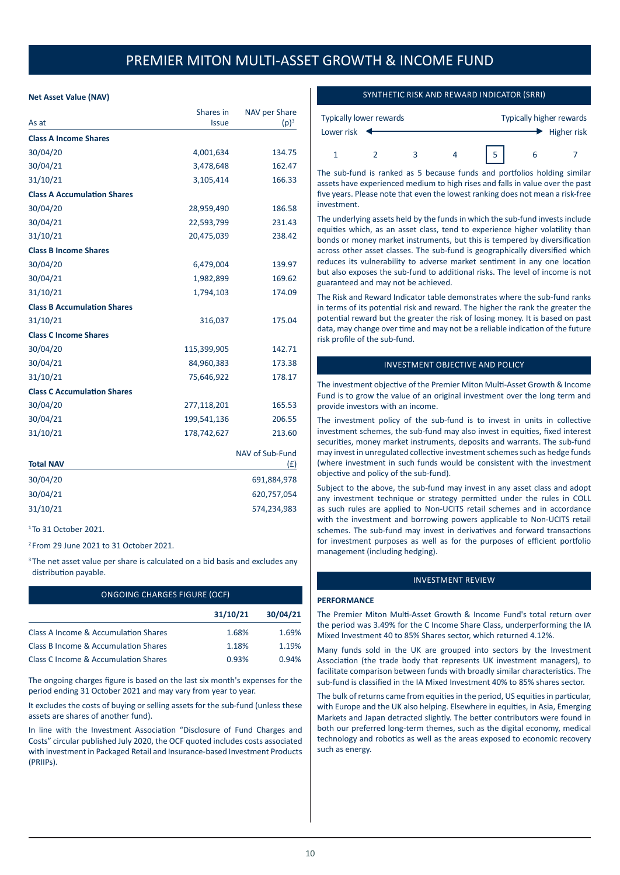## **Net Asset Value (NAV)**

|                                    | Shares in    | NAV per Share   |
|------------------------------------|--------------|-----------------|
| As at                              | <b>Issue</b> | $(p)^3$         |
| <b>Class A Income Shares</b>       |              |                 |
| 30/04/20                           | 4,001,634    | 134.75          |
| 30/04/21                           | 3,478,648    | 162.47          |
| 31/10/21                           | 3,105,414    | 166.33          |
| <b>Class A Accumulation Shares</b> |              |                 |
| 30/04/20                           | 28,959,490   | 186.58          |
| 30/04/21                           | 22,593,799   | 231.43          |
| 31/10/21                           | 20,475,039   | 238.42          |
| <b>Class B Income Shares</b>       |              |                 |
| 30/04/20                           | 6,479,004    | 139.97          |
| 30/04/21                           | 1,982,899    | 169.62          |
| 31/10/21                           | 1,794,103    | 174.09          |
| <b>Class B Accumulation Shares</b> |              |                 |
| 31/10/21                           | 316,037      | 175.04          |
| <b>Class C Income Shares</b>       |              |                 |
| 30/04/20                           | 115,399,905  | 142.71          |
| 30/04/21                           | 84,960,383   | 173.38          |
| 31/10/21                           | 75,646,922   | 178.17          |
| <b>Class C Accumulation Shares</b> |              |                 |
| 30/04/20                           | 277,118,201  | 165.53          |
| 30/04/21                           | 199,541,136  | 206.55          |
| 31/10/21                           | 178,742,627  | 213.60          |
|                                    |              | NAV of Sub-Fund |
| <b>Total NAV</b>                   |              | (f)             |
| 30/04/20                           |              | 691,884,978     |
| 30/04/21                           |              | 620,757,054     |
| 31/10/21                           |              | 574,234,983     |
| $1$ To 31 October 2021             |              |                 |

<sup>2</sup> From 29 June 2021 to 31 October 2021.

<sup>3</sup> The net asset value per share is calculated on a bid basis and excludes any distribution payable.

| <b>ONGOING CHARGES FIGURE (OCF)</b>  |          |          |  |
|--------------------------------------|----------|----------|--|
|                                      | 31/10/21 | 30/04/21 |  |
| Class A Income & Accumulation Shares | 1.68%    | 1.69%    |  |
| Class B Income & Accumulation Shares | 1.18%    | 1.19%    |  |
| Class C Income & Accumulation Shares | 0.93%    | 0.94%    |  |

The ongoing charges figure is based on the last six month's expenses for the period ending 31 October 2021 and may vary from year to year.

It excludes the costs of buying or selling assets for the sub-fund (unless these assets are shares of another fund).

In line with the Investment Association "Disclosure of Fund Charges and Costs" circular published July 2020, the OCF quoted includes costs associated with investment in Packaged Retail and Insurance-based Investment Products (PRIIPs).

## SYNTHETIC RISK AND REWARD INDICATOR (SRRI)

| Typically lower rewards |  | Typically higher rewards |  |  |             |
|-------------------------|--|--------------------------|--|--|-------------|
| Lower risk              |  |                          |  |  | Higher risk |
|                         |  |                          |  |  |             |

The sub-fund is ranked as 5 because funds and portfolios holding similar assets have experienced medium to high rises and falls in value over the past five years. Please note that even the lowest ranking does not mean a risk-free investment.

The underlying assets held by the funds in which the sub-fund invests include equities which, as an asset class, tend to experience higher volatility than bonds or money market instruments, but this is tempered by diversification across other asset classes. The sub-fund is geographically diversified which reduces its vulnerability to adverse market sentiment in any one location but also exposes the sub-fund to additional risks. The level of income is not guaranteed and may not be achieved.

The Risk and Reward Indicator table demonstrates where the sub-fund ranks in terms of its potential risk and reward. The higher the rank the greater the potential reward but the greater the risk of losing money. It is based on past data, may change over time and may not be a reliable indication of the future risk profile of the sub-fund.

## INVESTMENT OBJECTIVE AND POLICY

The investment objective of the Premier Miton Multi-Asset Growth & Income Fund is to grow the value of an original investment over the long term and provide investors with an income.

The investment policy of the sub-fund is to invest in units in collective investment schemes, the sub-fund may also invest in equities, fixed interest securities, money market instruments, deposits and warrants. The sub-fund may invest in unregulated collective investment schemes such as hedge funds (where investment in such funds would be consistent with the investment objective and policy of the sub-fund).

Subject to the above, the sub-fund may invest in any asset class and adopt any investment technique or strategy permitted under the rules in COLL as such rules are applied to Non-UCITS retail schemes and in accordance with the investment and borrowing powers applicable to Non-UCITS retail schemes. The sub-fund may invest in derivatives and forward transactions for investment purposes as well as for the purposes of efficient portfolio management (including hedging).

#### INVESTMENT REVIEW

#### **PERFORMANCE**

The Premier Miton Multi-Asset Growth & Income Fund's total return over the period was 3.49% for the C Income Share Class, underperforming the IA Mixed Investment 40 to 85% Shares sector, which returned 4.12%.

Many funds sold in the UK are grouped into sectors by the Investment Association (the trade body that represents UK investment managers), to facilitate comparison between funds with broadly similar characteristics. The sub-fund is classified in the IA Mixed Investment 40% to 85% shares sector.

The bulk of returns came from equities in the period, US equities in particular, with Europe and the UK also helping. Elsewhere in equities, in Asia, Emerging Markets and Japan detracted slightly. The better contributors were found in both our preferred long-term themes, such as the digital economy, medical technology and robotics as well as the areas exposed to economic recovery such as energy.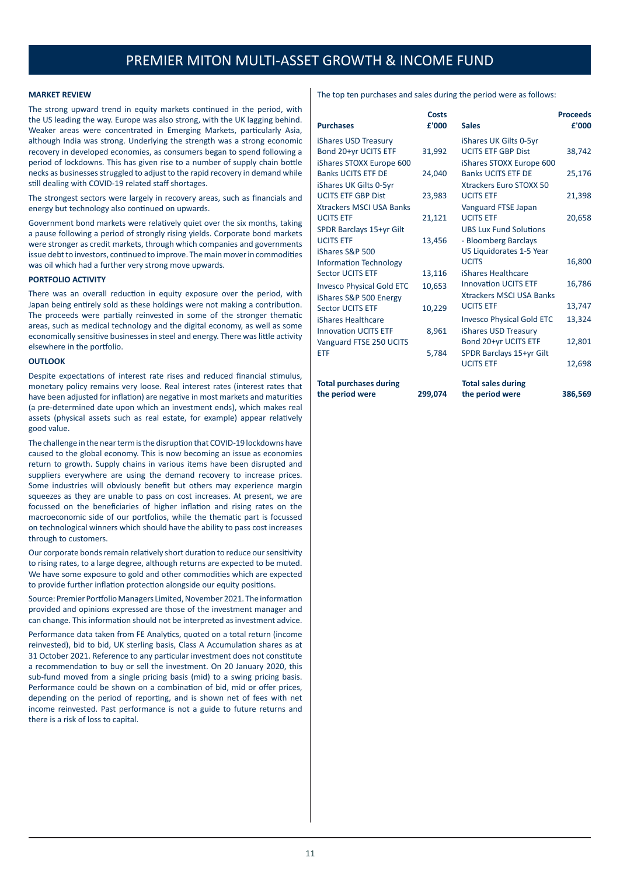#### **MARKET REVIEW**

The strong upward trend in equity markets continued in the period, with the US leading the way. Europe was also strong, with the UK lagging behind. Weaker areas were concentrated in Emerging Markets, particularly Asia, although India was strong. Underlying the strength was a strong economic recovery in developed economies, as consumers began to spend following a period of lockdowns. This has given rise to a number of supply chain bottle necks as businesses struggled to adjust to the rapid recovery in demand while still dealing with COVID-19 related staff shortages.

The strongest sectors were largely in recovery areas, such as financials and energy but technology also continued on upwards.

Government bond markets were relatively quiet over the six months, taking a pause following a period of strongly rising yields. Corporate bond markets were stronger as credit markets, through which companies and governments issue debt to investors, continued to improve. The main mover in commodities was oil which had a further very strong move upwards.

#### **PORTFOLIO ACTIVITY**

There was an overall reduction in equity exposure over the period, with Japan being entirely sold as these holdings were not making a contribution. The proceeds were partially reinvested in some of the stronger thematic areas, such as medical technology and the digital economy, as well as some economically sensitive businesses in steel and energy. There was little activity elsewhere in the portfolio.

#### **OUTLOOK**

Despite expectations of interest rate rises and reduced financial stimulus, monetary policy remains very loose. Real interest rates (interest rates that have been adjusted for inflation) are negative in most markets and maturities (a pre-determined date upon which an investment ends), which makes real assets (physical assets such as real estate, for example) appear relatively good value.

The challenge in the near term is the disruption that COVID-19 lockdowns have caused to the global economy. This is now becoming an issue as economies return to growth. Supply chains in various items have been disrupted and suppliers everywhere are using the demand recovery to increase prices. Some industries will obviously benefit but others may experience margin squeezes as they are unable to pass on cost increases. At present, we are focussed on the beneficiaries of higher inflation and rising rates on the macroeconomic side of our portfolios, while the thematic part is focussed on technological winners which should have the ability to pass cost increases through to customers.

Our corporate bonds remain relatively short duration to reduce our sensitivity to rising rates, to a large degree, although returns are expected to be muted. We have some exposure to gold and other commodities which are expected to provide further inflation protection alongside our equity positions.

Source: Premier Portfolio Managers Limited, November 2021. The information provided and opinions expressed are those of the investment manager and can change. This information should not be interpreted as investment advice.

Performance data taken from FE Analytics, quoted on a total return (income reinvested), bid to bid, UK sterling basis, Class A Accumulation shares as at 31 October 2021. Reference to any particular investment does not constitute a recommendation to buy or sell the investment. On 20 January 2020, this sub-fund moved from a single pricing basis (mid) to a swing pricing basis. Performance could be shown on a combination of bid, mid or offer prices, depending on the period of reporting, and is shown net of fees with net income reinvested. Past performance is not a guide to future returns and there is a risk of loss to capital.

The top ten purchases and sales during the period were as follows:

| <b>Purchases</b>                 | Costs<br>£'000 | <b>Sales</b>                                      | <b>Proceeds</b><br>£'000 |
|----------------------------------|----------------|---------------------------------------------------|--------------------------|
| iShares USD Treasury             |                | iShares UK Gilts 0-5yr                            |                          |
| Bond 20+yr UCITS ETF             | 31,992         | <b>UCITS ETF GBP Dist</b>                         | 38,742                   |
| iShares STOXX Europe 600         |                | iShares STOXX Europe 600                          |                          |
| <b>Banks UCITS ETF DE</b>        | 24,040         | <b>Banks UCITS ETF DE</b>                         | 25,176                   |
| iShares UK Gilts 0-5yr           |                | <b>Xtrackers Euro STOXX 50</b>                    |                          |
| <b>UCITS ETF GBP Dist</b>        | 23,983         | <b>UCITS ETF</b>                                  | 21,398                   |
| <b>Xtrackers MSCI USA Banks</b>  |                | Vanguard FTSE Japan                               |                          |
| <b>UCITS ETF</b>                 | 21,121         | <b>UCITS ETF</b>                                  | 20,658                   |
| SPDR Barclays 15+yr Gilt         |                | <b>UBS Lux Fund Solutions</b>                     |                          |
| <b>UCITS ETF</b>                 | 13,456         | - Bloomberg Barclays                              |                          |
| iShares S&P 500                  |                | US Liquidorates 1-5 Year                          |                          |
| <b>Information Technology</b>    |                | <b>UCITS</b>                                      | 16,800                   |
| <b>Sector UCITS ETF</b>          | 13,116         | iShares Healthcare<br><b>Innovation UCITS ETF</b> |                          |
| <b>Invesco Physical Gold ETC</b> | 10,653         | <b>Xtrackers MSCI USA Banks</b>                   | 16,786                   |
| iShares S&P 500 Energy           |                | <b>UCITS ETF</b>                                  | 13,747                   |
| <b>Sector UCITS ETF</b>          | 10,229         |                                                   |                          |
| iShares Healthcare               |                | <b>Invesco Physical Gold ETC</b>                  | 13,324                   |
| <b>Innovation UCITS ETF</b>      | 8,961          | iShares USD Treasury                              |                          |
| Vanguard FTSE 250 UCITS          |                | Bond 20+yr UCITS ETF                              | 12,801                   |
| ETF                              | 5,784          | SPDR Barclays 15+yr Gilt<br><b>UCITS ETF</b>      | 12,698                   |
|                                  |                |                                                   |                          |
| <b>Total purchases during</b>    |                | <b>Total sales during</b>                         |                          |
| the period were                  | 299,074        | the period were                                   | 386,569                  |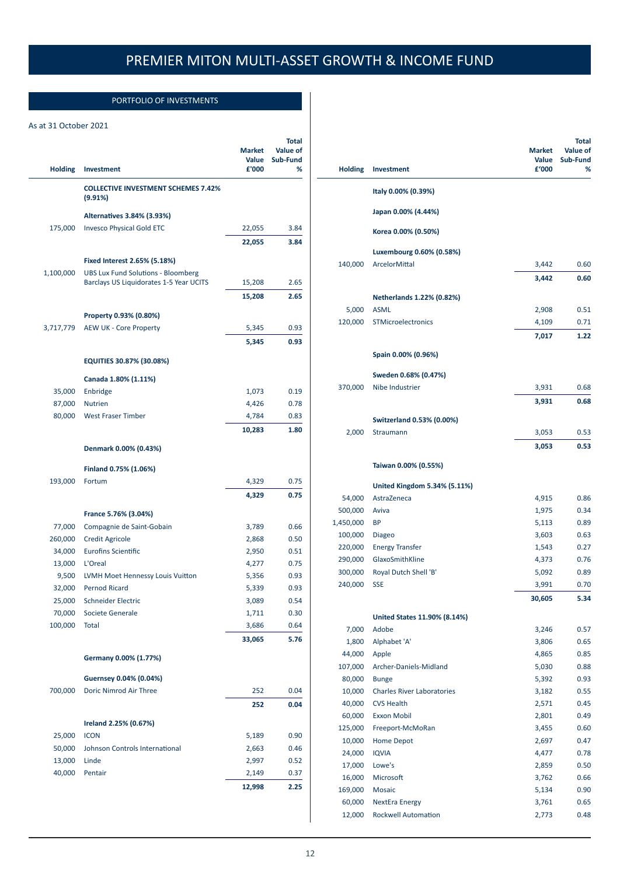## PORTFOLIO OF INVESTMENTS

## As at 31 October 2021

|                  |                                                                                      |                        | <b>Total</b>                |
|------------------|--------------------------------------------------------------------------------------|------------------------|-----------------------------|
|                  |                                                                                      | <b>Market</b><br>Value | <b>Value of</b><br>Sub-Fund |
| <b>Holding</b>   | Investment                                                                           | £'000                  | %                           |
|                  | <b>COLLECTIVE INVESTMENT SCHEMES 7.42%</b><br>(9.91%)                                |                        |                             |
|                  | Alternatives 3.84% (3.93%)                                                           |                        |                             |
| 175,000          | <b>Invesco Physical Gold ETC</b>                                                     | 22,055                 | 3.84                        |
|                  |                                                                                      | 22,055                 | 3.84                        |
|                  |                                                                                      |                        |                             |
|                  | Fixed Interest 2.65% (5.18%)                                                         |                        |                             |
| 1,100,000        | <b>UBS Lux Fund Solutions - Bloomberg</b><br>Barclays US Liquidorates 1-5 Year UCITS | 15,208                 | 2.65                        |
|                  |                                                                                      | 15,208                 | 2.65                        |
|                  |                                                                                      |                        |                             |
|                  | Property 0.93% (0.80%)                                                               |                        |                             |
| 3,717,779        | <b>AEW UK - Core Property</b>                                                        | 5,345                  | 0.93                        |
|                  |                                                                                      | 5,345                  | 0.93                        |
|                  | EQUITIES 30.87% (30.08%)                                                             |                        |                             |
|                  | Canada 1.80% (1.11%)                                                                 |                        |                             |
| 35,000           | Enbridge                                                                             | 1,073                  | 0.19                        |
| 87,000           | <b>Nutrien</b>                                                                       | 4,426                  | 0.78                        |
| 80,000           | <b>West Fraser Timber</b>                                                            | 4,784                  | 0.83                        |
|                  |                                                                                      | 10,283                 | 1.80                        |
|                  | Denmark 0.00% (0.43%)                                                                |                        |                             |
|                  |                                                                                      |                        |                             |
|                  | Finland 0.75% (1.06%)                                                                |                        |                             |
| 193,000          | Fortum                                                                               | 4,329                  | 0.75                        |
|                  |                                                                                      | 4,329                  | 0.75                        |
|                  | France 5.76% (3.04%)                                                                 |                        |                             |
| 77,000           | Compagnie de Saint-Gobain                                                            | 3,789                  | 0.66                        |
| 260,000          | <b>Credit Agricole</b>                                                               | 2,868                  | 0.50                        |
| 34,000           | <b>Eurofins Scientific</b>                                                           | 2,950                  | 0.51                        |
| 13,000           | L'Oreal                                                                              | 4,277                  | 0.75                        |
| 9,500            | LVMH Moet Hennessy Louis Vuitton                                                     | 5,356                  | 0.93                        |
| 32,000           | <b>Pernod Ricard</b>                                                                 | 5,339                  | 0.93                        |
| 25,000           | <b>Schneider Electric</b>                                                            | 3,089                  | 0.54                        |
| 70,000           | Societe Generale                                                                     | 1,711                  | 0.30                        |
| 100,000          | <b>Total</b>                                                                         | 3,686                  | 0.64                        |
|                  |                                                                                      | 33,065                 | 5.76                        |
|                  | Germany 0.00% (1.77%)                                                                |                        |                             |
|                  | Guernsey 0.04% (0.04%)                                                               |                        |                             |
| 700,000          | Doric Nimrod Air Three                                                               | 252                    | 0.04                        |
|                  |                                                                                      | 252                    | 0.04                        |
|                  |                                                                                      |                        |                             |
|                  | Ireland 2.25% (0.67%)                                                                |                        |                             |
| 25,000           | <b>ICON</b><br>Johnson Controls International                                        | 5,189                  | 0.90<br>0.46                |
| 50,000<br>13,000 | Linde                                                                                | 2,663<br>2,997         | 0.52                        |
| 40,000           | Pentair                                                                              | 2,149                  | 0.37                        |
|                  |                                                                                      | 12,998                 | 2.25                        |
|                  |                                                                                      |                        |                             |
|                  |                                                                                      |                        |                             |

| <b>Holding</b> | Investment                        | <b>Market</b><br>Value<br>£'000 | <b>Total</b><br>Value of<br>Sub-Fund<br>% |
|----------------|-----------------------------------|---------------------------------|-------------------------------------------|
|                | Italy 0.00% (0.39%)               |                                 |                                           |
|                | Japan 0.00% (4.44%)               |                                 |                                           |
|                | Korea 0.00% (0.50%)               |                                 |                                           |
|                | Luxembourg 0.60% (0.58%)          |                                 |                                           |
| 140,000        | ArcelorMittal                     | 3,442                           | 0.60                                      |
|                |                                   | 3,442                           | 0.60                                      |
|                | Netherlands 1.22% (0.82%)         |                                 |                                           |
| 5,000          | <b>ASML</b>                       | 2,908                           | 0.51                                      |
| 120,000        | STMicroelectronics                | 4,109                           | 0.71                                      |
|                |                                   | 7,017                           | 1.22                                      |
|                |                                   |                                 |                                           |
|                | Spain 0.00% (0.96%)               |                                 |                                           |
|                | Sweden 0.68% (0.47%)              |                                 |                                           |
| 370,000        | Nibe Industrier                   | 3,931                           | 0.68                                      |
|                |                                   | 3,931                           | 0.68                                      |
|                |                                   |                                 |                                           |
|                | Switzerland 0.53% (0.00%)         |                                 |                                           |
| 2,000          | Straumann                         | 3,053                           | 0.53                                      |
|                |                                   | 3,053                           | 0.53                                      |
|                | Taiwan 0.00% (0.55%)              |                                 |                                           |
|                | United Kingdom 5.34% (5.11%)      |                                 |                                           |
| 54,000         | AstraZeneca                       | 4,915                           | 0.86                                      |
| 500,000        | Aviva                             | 1,975                           | 0.34                                      |
| 1,450,000      | <b>BP</b>                         | 5,113                           | 0.89                                      |
| 100,000        | <b>Diageo</b>                     | 3,603                           | 0.63                                      |
| 220,000        | <b>Energy Transfer</b>            | 1,543                           | 0.27                                      |
| 290,000        | GlaxoSmithKline                   | 4,373                           | 0.76                                      |
| 300,000        | Royal Dutch Shell 'B'             | 5,092                           | 0.89                                      |
| 240,000        | <b>SSE</b>                        | 3,991                           | 0.70                                      |
|                |                                   | 30,605                          | 5.34                                      |
|                | United States 11.90% (8.14%)      |                                 |                                           |
| 7,000          | Adobe                             | 3,246                           | 0.57                                      |
| 1,800          | Alphabet 'A'                      | 3,806                           | 0.65                                      |
| 44,000         | Apple                             | 4,865                           | 0.85                                      |
| 107,000        | Archer-Daniels-Midland            | 5,030                           | 0.88                                      |
| 80,000         | <b>Bunge</b>                      | 5,392                           | 0.93                                      |
| 10,000         | <b>Charles River Laboratories</b> | 3,182                           | 0.55                                      |
| 40,000         | <b>CVS Health</b>                 | 2,571                           | 0.45                                      |
| 60,000         | <b>Exxon Mobil</b>                | 2,801                           | 0.49                                      |
| 125,000        | Freeport-McMoRan                  | 3,455                           | 0.60                                      |
| 10,000         | <b>Home Depot</b>                 | 2,697                           | 0.47                                      |
| 24,000         | <b>IQVIA</b>                      | 4,477                           | 0.78                                      |
| 17,000         | Lowe's                            | 2,859                           | 0.50                                      |
| 16,000         | Microsoft                         | 3,762                           | 0.66                                      |
| 169,000        | Mosaic                            | 5,134                           | 0.90                                      |
| 60,000         | <b>NextEra Energy</b>             | 3,761                           | 0.65                                      |
| 12,000         | <b>Rockwell Automation</b>        | 2,773                           | 0.48                                      |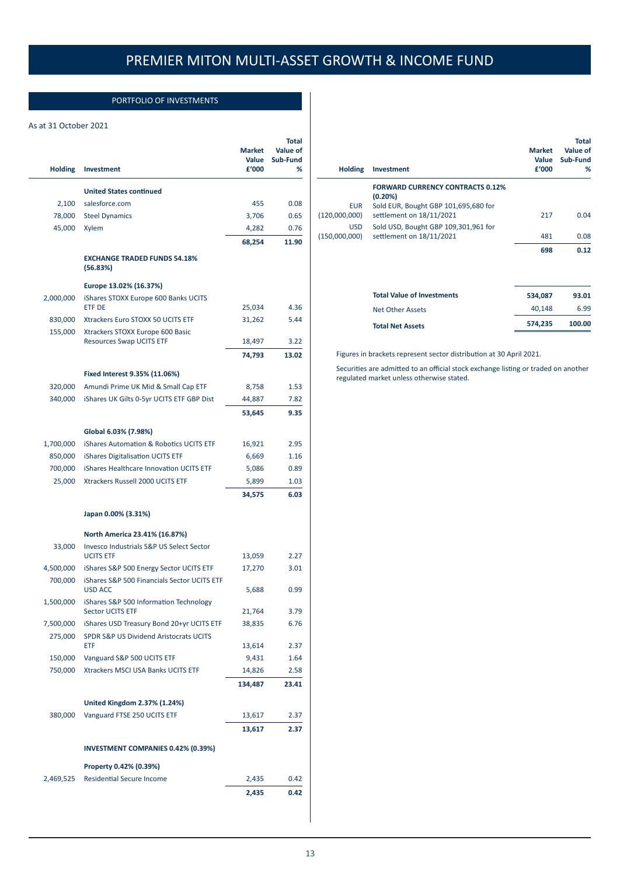## PORTFOLIO OF INVESTMENTS

## As at 31 October 2021

| <b>Holding</b> | <b>Investment</b>                                             | <b>Market</b><br>Value<br>£'000 | Total<br>Value of<br>Sub-Fund<br>% |
|----------------|---------------------------------------------------------------|---------------------------------|------------------------------------|
|                | <b>United States continued</b>                                |                                 |                                    |
| 2,100          | salesforce.com                                                | 455                             | 0.08                               |
| 78,000         | <b>Steel Dynamics</b>                                         | 3,706                           | 0.65                               |
| 45,000         | Xylem                                                         | 4,282                           | 0.76                               |
|                |                                                               | 68,254                          | 11.90                              |
|                | <b>EXCHANGE TRADED FUNDS 54.18%</b><br>(56.83%)               |                                 |                                    |
|                | Europe 13.02% (16.37%)                                        |                                 |                                    |
| 2,000,000      | iShares STOXX Europe 600 Banks UCITS<br>ETF DE                | 25,034                          | 4.36                               |
| 830,000        | Xtrackers Euro STOXX 50 UCITS ETF                             | 31,262                          | 5.44                               |
| 155,000        | Xtrackers STOXX Europe 600 Basic                              |                                 |                                    |
|                | <b>Resources Swap UCITS ETF</b>                               | 18,497                          | 3.22                               |
|                |                                                               | 74,793                          | 13.02                              |
|                | Fixed Interest 9.35% (11.06%)                                 |                                 |                                    |
| 320,000        | Amundi Prime UK Mid & Small Cap ETF                           | 8,758                           | 1.53                               |
| 340,000        | iShares UK Gilts 0-5yr UCITS ETF GBP Dist                     | 44,887                          | 7.82                               |
|                |                                                               | 53,645                          | 9.35                               |
|                | Global 6.03% (7.98%)                                          |                                 |                                    |
| 1,700,000      | <b>iShares Automation &amp; Robotics UCITS ETF</b>            | 16,921                          | 2.95                               |
| 850,000        | <b>iShares Digitalisation UCITS ETF</b>                       | 6,669                           | 1.16                               |
| 700,000        | iShares Healthcare Innovation UCITS ETF                       | 5,086                           | 0.89                               |
| 25,000         | Xtrackers Russell 2000 UCITS ETF                              | 5,899                           | 1.03                               |
|                |                                                               | 34,575                          | 6.03                               |
|                | Japan 0.00% (3.31%)                                           |                                 |                                    |
|                | North America 23.41% (16.87%)                                 |                                 |                                    |
| 33,000         | <b>Invesco Industrials S&amp;P US Select Sector</b>           |                                 |                                    |
|                | <b>UCITS ETF</b>                                              | 13,059                          | 2.27                               |
| 4,500,000      | iShares S&P 500 Energy Sector UCITS ETF                       | 17,270                          | 3.01                               |
| 700,000        | iShares S&P 500 Financials Sector UCITS ETF<br><b>USD ACC</b> | 5,688                           | 0.99                               |
| 1,500,000      | iShares S&P 500 Information Technology                        |                                 |                                    |
|                | Sector UCITS ETF                                              | 21,764                          | 3.79                               |
| 7,500,000      | iShares USD Treasury Bond 20+yr UCITS ETF                     | 38,835                          | 6.76                               |
| 275,000        | SPDR S&P US Dividend Aristocrats UCITS<br><b>ETF</b>          | 13,614                          | 2.37                               |
| 150,000        | Vanguard S&P 500 UCITS ETF                                    | 9,431                           | 1.64                               |
| 750,000        | Xtrackers MSCI USA Banks UCITS ETF                            | 14,826                          | 2.58                               |
|                |                                                               | 134,487                         | 23.41                              |
|                |                                                               |                                 |                                    |
| 380,000        | United Kingdom 2.37% (1.24%)<br>Vanguard FTSE 250 UCITS ETF   | 13,617                          | 2.37                               |
|                |                                                               | 13,617                          | 2.37                               |
|                | <b>INVESTMENT COMPANIES 0.42% (0.39%)</b>                     |                                 |                                    |
|                | Property 0.42% (0.39%)                                        |                                 |                                    |
| 2,469,525      | <b>Residential Secure Income</b>                              | 2,435                           | 0.42                               |
|                |                                                               | 2,435                           | 0.42                               |

| <b>Investment</b>                       | <b>Market</b><br>Value<br>£'000                 | <b>Total</b><br>Value of<br>Sub-Fund<br>% |
|-----------------------------------------|-------------------------------------------------|-------------------------------------------|
| <b>FORWARD CURRENCY CONTRACTS 0.12%</b> |                                                 |                                           |
|                                         |                                                 |                                           |
| settlement on 18/11/2021                | 217                                             | 0.04                                      |
| Sold USD, Bought GBP 109,301,961 for    |                                                 |                                           |
| settlement on 18/11/2021                | 481                                             | 0.08                                      |
|                                         | 698                                             | 0.12                                      |
| <b>Total Value of Investments</b>       | 534,087                                         | 93.01                                     |
| <b>Net Other Assets</b>                 | 40,148                                          | 6.99                                      |
| <b>Total Net Assets</b>                 | 574,235                                         | 100.00                                    |
|                                         | (0.20%)<br>Sold EUR, Bought GBP 101,695,680 for |                                           |

Figures in brackets represent sector distribution at 30 April 2021.

Securities are admitted to an official stock exchange listing or traded on another regulated market unless otherwise stated.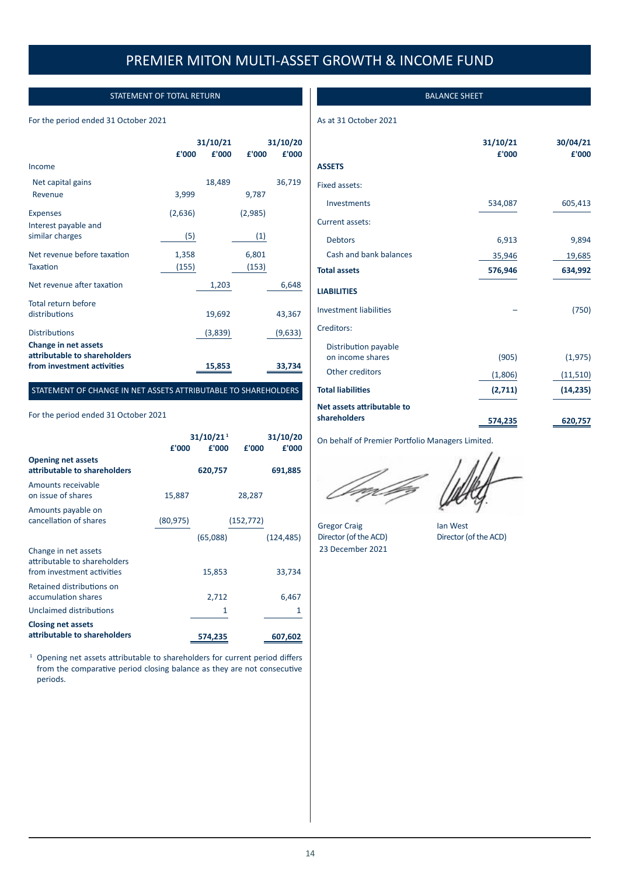## STATEMENT OF TOTAL RETURN

## For the period ended 31 October 2021

|                                                      | 31/10/21 |         | 31/10/20 |         |
|------------------------------------------------------|----------|---------|----------|---------|
|                                                      | £'000    | £'000   | £'000    | £'000   |
| Income                                               |          |         |          |         |
| Net capital gains                                    |          | 18,489  |          | 36,719  |
| Revenue                                              | 3,999    |         | 9,787    |         |
| <b>Expenses</b>                                      | (2,636)  |         | (2,985)  |         |
| Interest payable and                                 |          |         |          |         |
| similar charges                                      | (5)      |         | (1)      |         |
| Net revenue before taxation                          | 1,358    |         | 6,801    |         |
| Taxation                                             | (155)    |         | (153)    |         |
| Net revenue after taxation                           |          | 1,203   |          | 6,648   |
| Total return before                                  |          |         |          |         |
| distributions                                        |          | 19,692  |          | 43,367  |
| <b>Distributions</b>                                 |          | (3,839) |          | (9,633) |
| Change in net assets<br>attributable to shareholders |          |         |          |         |
| from investment activities                           |          | 15,853  |          | 33,734  |

## STATEMENT OF CHANGE IN NET ASSETS ATTRIBUTABLE TO SHAREHOLDERS

## For the period ended 31 October 2021

|                                                                                    | £'000     | 31/10/21 <sup>1</sup><br>£'000 | £'000      | 31/10/20<br>£'000 |
|------------------------------------------------------------------------------------|-----------|--------------------------------|------------|-------------------|
| <b>Opening net assets</b><br>attributable to shareholders                          |           | 620,757                        |            | 691,885           |
| Amounts receivable<br>on issue of shares                                           | 15,887    |                                | 28,287     |                   |
| Amounts payable on<br>cancellation of shares                                       | (80, 975) |                                | (152, 772) |                   |
|                                                                                    |           | (65,088)                       |            | (124, 485)        |
| Change in net assets<br>attributable to shareholders<br>from investment activities |           | 15,853                         |            | 33,734            |
| Retained distributions on<br>accumulation shares                                   |           | 2,712                          |            | 6,467             |
| Unclaimed distributions                                                            |           | 1                              |            | 1                 |
| <b>Closing net assets</b>                                                          |           |                                |            |                   |
| attributable to shareholders                                                       |           | 574,235                        |            | 607,602           |

<sup>1</sup> Opening net assets attributable to shareholders for current period differs from the comparative period closing balance as they are not consecutive periods.

BALANCE SHEET

## As at 31 October 2021

|                                            | 31/10/21<br>£'000 | 30/04/21<br>£'000 |
|--------------------------------------------|-------------------|-------------------|
| <b>ASSETS</b>                              |                   |                   |
| Fixed assets:                              |                   |                   |
| Investments                                | 534,087           | 605,413           |
| Current assets:                            |                   |                   |
| <b>Debtors</b>                             | 6,913             | 9,894             |
| Cash and bank balances                     | 35,946            | 19,685            |
| <b>Total assets</b>                        | 576,946           | 634,992           |
| <b>LIABILITIES</b>                         |                   |                   |
| <b>Investment liabilities</b>              |                   | (750)             |
| Creditors:                                 |                   |                   |
| Distribution payable<br>on income shares   | (905)             | (1, 975)          |
| Other creditors                            | (1,806)           | (11, 510)         |
| <b>Total liabilities</b>                   | (2,711)           | (14, 235)         |
| Net assets attributable to<br>shareholders | 574,235           | 620,757           |

On behalf of Premier Portfolio Managers Limited.

Gregor Craig **Ian West** Director (of the ACD) Director (of the ACD) 23 December 2021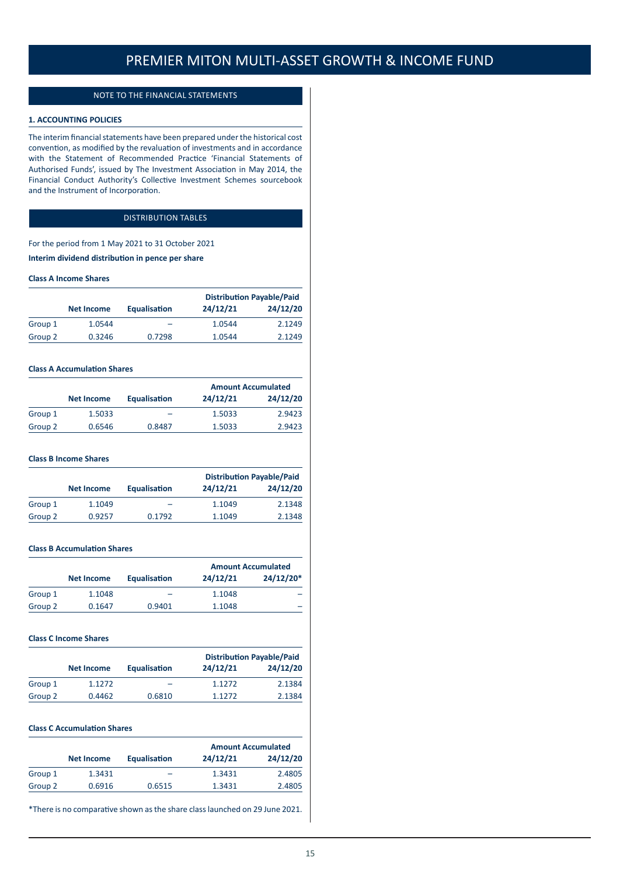## NOTE TO THE FINANCIAL STATEMENTS

## **1. ACCOUNTING POLICIES**

The interim financial statements have been prepared under the historical cost convention, as modified by the revaluation of investments and in accordance with the Statement of Recommended Practice 'Financial Statements of Authorised Funds', issued by The Investment Association in May 2014, the Financial Conduct Authority's Collective Investment Schemes sourcebook and the Instrument of Incorporation.

## DISTRIBUTION TABLES

For the period from 1 May 2021 to 31 October 2021

**Interim dividend distribution in pence per share**

#### **Class A Income Shares**

|         |            |                     | <b>Distribution Payable/Paid</b> |          |
|---------|------------|---------------------|----------------------------------|----------|
|         | Net Income | <b>Equalisation</b> | 24/12/21                         | 24/12/20 |
| Group 1 | 1.0544     | -                   | 1.0544                           | 2.1249   |
| Group 2 | 0.3246     | 0.7298              | 1.0544                           | 2.1249   |

## **Class A Accumulation Shares**

|         |                   |                     | <b>Amount Accumulated</b> |          |
|---------|-------------------|---------------------|---------------------------|----------|
|         | <b>Net Income</b> | <b>Equalisation</b> | 24/12/21                  | 24/12/20 |
| Group 1 | 1.5033            |                     | 1.5033                    | 2.9423   |
| Group 2 | 0.6546            | 0.8487              | 1.5033                    | 2.9423   |

### **Class B Income Shares**

|         |                   |              |          | <b>Distribution Payable/Paid</b> |
|---------|-------------------|--------------|----------|----------------------------------|
|         | <b>Net Income</b> | Equalisation | 24/12/21 | 24/12/20                         |
| Group 1 | 1.1049            | -            | 1.1049   | 2.1348                           |
| Group 2 | 0.9257            | 0.1792       | 1.1049   | 2.1348                           |

#### **Class B Accumulation Shares**

|         |                   |                     |          | <b>Amount Accumulated</b> |
|---------|-------------------|---------------------|----------|---------------------------|
|         | <b>Net Income</b> | <b>Equalisation</b> | 24/12/21 | $24/12/20*$               |
| Group 1 | 1.1048            | -                   | 1.1048   |                           |
| Group 2 | 0.1647            | 0.9401              | 1.1048   |                           |

### **Class C Income Shares**

|         |            |                     | <b>Distribution Payable/Paid</b> |          |
|---------|------------|---------------------|----------------------------------|----------|
|         | Net Income | <b>Equalisation</b> | 24/12/21                         | 24/12/20 |
| Group 1 | 1.1272     | -                   | 1.1272                           | 2.1384   |
| Group 2 | 0.4462     | 0.6810              | 1.1272                           | 2.1384   |

#### **Class C Accumulation Shares**

|         |            |              | <b>Amount Accumulated</b> |          |
|---------|------------|--------------|---------------------------|----------|
|         | Net Income | Equalisation | 24/12/21                  | 24/12/20 |
| Group 1 | 1.3431     | -            | 1.3431                    | 2.4805   |
| Group 2 | 0.6916     | 0.6515       | 1.3431                    | 2.4805   |

\*There is no comparative shown as the share class launched on 29 June 2021.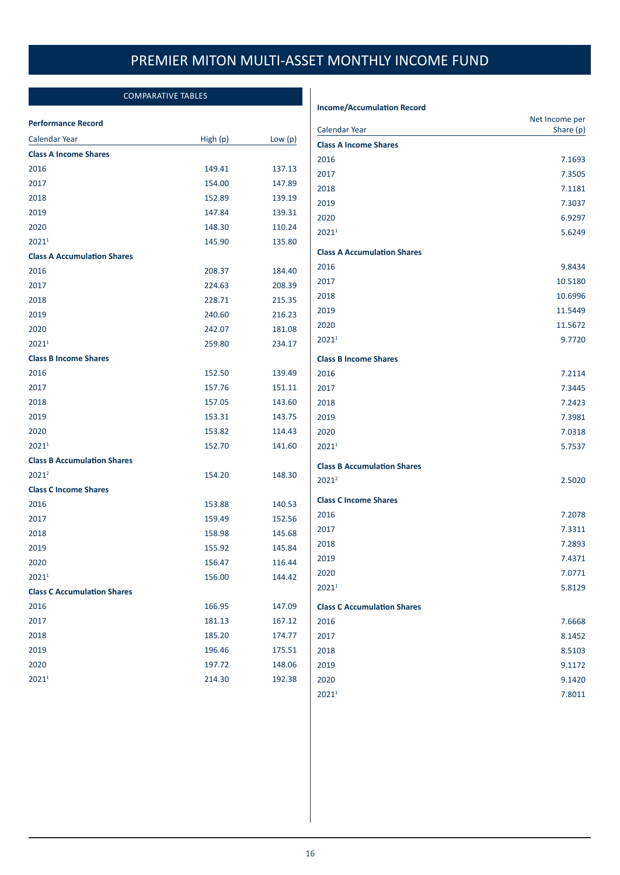## COMPARATIVE TABLES

### **Performance Record**

| Calendar Year                      | High (p) | Low $(p)$ |
|------------------------------------|----------|-----------|
| <b>Class A Income Shares</b>       |          |           |
| 2016                               | 149.41   | 137.13    |
| 2017                               | 154.00   | 147.89    |
| 2018                               | 152.89   | 139.19    |
| 2019                               | 147.84   | 139.31    |
| 2020                               | 148.30   | 110.24    |
| 20211                              | 145.90   | 135.80    |
| <b>Class A Accumulation Shares</b> |          |           |
| 2016                               | 208.37   | 184.40    |
| 2017                               | 224.63   | 208.39    |
| 2018                               | 228.71   | 215.35    |
| 2019                               | 240.60   | 216.23    |
| 2020                               | 242.07   | 181.08    |
| 20211                              | 259.80   | 234.17    |
| <b>Class B Income Shares</b>       |          |           |
| 2016                               | 152.50   | 139.49    |
| 2017                               | 157.76   | 151.11    |
| 2018                               | 157.05   | 143.60    |
| 2019                               | 153.31   | 143.75    |
| 2020                               | 153.82   | 114.43    |
| $2021^1$                           | 152.70   | 141.60    |
| <b>Class B Accumulation Shares</b> |          |           |
| $2021^2$                           | 154.20   | 148.30    |
| <b>Class C Income Shares</b>       |          |           |
| 2016                               | 153.88   | 140.53    |
| 2017                               | 159.49   | 152.56    |
| 2018                               | 158.98   | 145.68    |
| 2019                               | 155.92   | 145.84    |
| 2020                               | 156.47   | 116.44    |
| 2021 <sup>1</sup>                  | 156.00   | 144.42    |
| <b>Class C Accumulation Shares</b> |          |           |
| 2016                               | 166.95   | 147.09    |
| 2017                               | 181.13   | 167.12    |
| 2018                               | 185.20   | 174.77    |
| 2019                               | 196.46   | 175.51    |
| 2020                               | 197.72   | 148.06    |
| 20211                              | 214.30   | 192.38    |
|                                    |          |           |

## **Income/Accumulation Record**

| <b>Calendar Year</b>               | Net Income per<br>Share (p) |
|------------------------------------|-----------------------------|
| <b>Class A Income Shares</b>       |                             |
| 2016                               | 7.1693                      |
| 2017                               | 7.3505                      |
| 2018                               | 7.1181                      |
| 2019                               | 7.3037                      |
| 2020                               | 6.9297                      |
| 20211                              | 5.6249                      |
| <b>Class A Accumulation Shares</b> |                             |
| 2016                               | 9.8434                      |
| 2017                               | 10.5180                     |
| 2018                               | 10.6996                     |
| 2019                               | 11.5449                     |
| 2020                               | 11.5672                     |
| 2021 <sup>1</sup>                  | 9.7720                      |
| <b>Class B Income Shares</b>       |                             |
| 2016                               | 7.2114                      |
| 2017                               | 7.3445                      |
| 2018                               | 7.2423                      |
| 2019                               | 7.3981                      |
| 2020                               | 7.0318                      |
| 20211                              | 5.7537                      |
| <b>Class B Accumulation Shares</b> |                             |
| $2021^2$                           | 2.5020                      |
| <b>Class C Income Shares</b>       |                             |
| 2016                               | 7.2078                      |
| 2017                               | 7.3311                      |
| 2018                               | 7.2893                      |
| 2019                               | 7.4371                      |
| 2020                               | 7.0771                      |
| 20211                              | 5.8129                      |
| <b>Class C Accumulation Shares</b> |                             |
| 2016                               | 7.6668                      |
| 2017                               | 8.1452                      |
| 2018                               | 8.5103                      |
| 2019                               | 9.1172                      |
| 2020                               | 9.1420                      |
| 2021 <sup>1</sup>                  | 7.8011                      |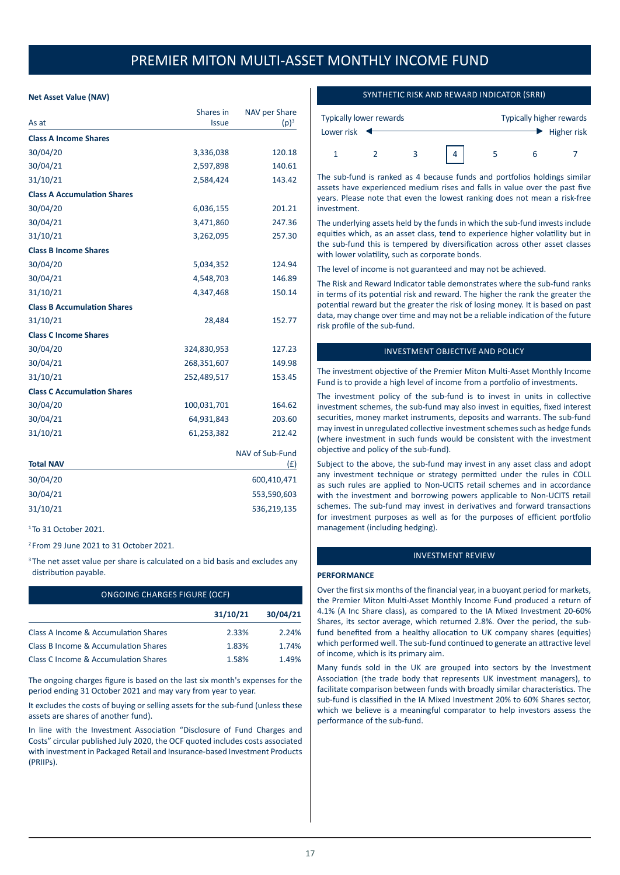## **Net Asset Value (NAV)**

|                                    | Shares in    | NAV per Share   |
|------------------------------------|--------------|-----------------|
| As at                              | <b>Issue</b> | $(p)^3$         |
| <b>Class A Income Shares</b>       |              |                 |
| 30/04/20                           | 3,336,038    | 120.18          |
| 30/04/21                           | 2,597,898    | 140.61          |
| 31/10/21                           | 2,584,424    | 143.42          |
| <b>Class A Accumulation Shares</b> |              |                 |
| 30/04/20                           | 6,036,155    | 201.21          |
| 30/04/21                           | 3,471,860    | 247.36          |
| 31/10/21                           | 3,262,095    | 257.30          |
| <b>Class B Income Shares</b>       |              |                 |
| 30/04/20                           | 5,034,352    | 124.94          |
| 30/04/21                           | 4,548,703    | 146.89          |
| 31/10/21                           | 4,347,468    | 150.14          |
| <b>Class B Accumulation Shares</b> |              |                 |
| 31/10/21                           | 28,484       | 152.77          |
| <b>Class C Income Shares</b>       |              |                 |
| 30/04/20                           | 324,830,953  | 127.23          |
| 30/04/21                           | 268,351,607  | 149.98          |
| 31/10/21                           | 252,489,517  | 153.45          |
| <b>Class C Accumulation Shares</b> |              |                 |
| 30/04/20                           | 100,031,701  | 164.62          |
| 30/04/21                           | 64,931,843   | 203.60          |
| 31/10/21                           | 61,253,382   | 212.42          |
|                                    |              | NAV of Sub-Fund |
| Total NAV                          |              | (E)             |
| 30/04/20                           |              | 600,410,471     |
| 30/04/21                           |              | 553,590,603     |
| 31/10/21                           |              | 536,219,135     |
| $1$ To 31 October 2021             |              |                 |

<sup>2</sup> From 29 June 2021 to 31 October 2021.

<sup>3</sup> The net asset value per share is calculated on a bid basis and excludes any distribution payable.

| <b>ONGOING CHARGES FIGURE (OCF)</b>                    |          |          |  |  |
|--------------------------------------------------------|----------|----------|--|--|
|                                                        | 31/10/21 | 30/04/21 |  |  |
| Class A Income & Accumulation Shares                   | 2.33%    | 2.24%    |  |  |
| Class B Income & Accumulation Shares                   | 1.83%    | 1.74%    |  |  |
| Class C Income & Accumulation Shares<br>1.58%<br>1.49% |          |          |  |  |

The ongoing charges figure is based on the last six month's expenses for the period ending 31 October 2021 and may vary from year to year.

It excludes the costs of buying or selling assets for the sub-fund (unless these assets are shares of another fund).

In line with the Investment Association "Disclosure of Fund Charges and Costs" circular published July 2020, the OCF quoted includes costs associated with investment in Packaged Retail and Insurance-based Investment Products (PRIIPs).

## SYNTHETIC RISK AND REWARD INDICATOR (SRRI)

| <b>Typically lower rewards</b> |  |  | <b>Typically higher rewards</b> |  |                                   |
|--------------------------------|--|--|---------------------------------|--|-----------------------------------|
| Lower risk                     |  |  |                                 |  | $\blacktriangleright$ Higher risk |
|                                |  |  |                                 |  |                                   |

The sub-fund is ranked as 4 because funds and portfolios holdings similar assets have experienced medium rises and falls in value over the past five years. Please note that even the lowest ranking does not mean a risk-free investment.

The underlying assets held by the funds in which the sub-fund invests include equities which, as an asset class, tend to experience higher volatility but in the sub-fund this is tempered by diversification across other asset classes with lower volatility, such as corporate bonds.

The level of income is not guaranteed and may not be achieved.

The Risk and Reward Indicator table demonstrates where the sub-fund ranks in terms of its potential risk and reward. The higher the rank the greater the potential reward but the greater the risk of losing money. It is based on past data, may change over time and may not be a reliable indication of the future risk profile of the sub-fund.

## INVESTMENT OBJECTIVE AND POLICY

The investment objective of the Premier Miton Multi-Asset Monthly Income Fund is to provide a high level of income from a portfolio of investments.

The investment policy of the sub-fund is to invest in units in collective investment schemes, the sub-fund may also invest in equities, fixed interest securities, money market instruments, deposits and warrants. The sub-fund may invest in unregulated collective investment schemes such as hedge funds (where investment in such funds would be consistent with the investment objective and policy of the sub-fund).

Subject to the above, the sub-fund may invest in any asset class and adopt any investment technique or strategy permitted under the rules in COLL as such rules are applied to Non-UCITS retail schemes and in accordance with the investment and borrowing powers applicable to Non-UCITS retail schemes. The sub-fund may invest in derivatives and forward transactions for investment purposes as well as for the purposes of efficient portfolio management (including hedging).

## INVESTMENT REVIEW

#### **PERFORMANCE**

Over the first six months of the financial year, in a buoyant period for markets, the Premier Miton Multi-Asset Monthly Income Fund produced a return of 4.1% (A Inc Share class), as compared to the IA Mixed Investment 20-60% Shares, its sector average, which returned 2.8%. Over the period, the subfund benefited from a healthy allocation to UK company shares (equities) which performed well. The sub-fund continued to generate an attractive level of income, which is its primary aim.

Many funds sold in the UK are grouped into sectors by the Investment Association (the trade body that represents UK investment managers), to facilitate comparison between funds with broadly similar characteristics. The sub-fund is classified in the IA Mixed Investment 20% to 60% Shares sector, which we believe is a meaningful comparator to help investors assess the performance of the sub-fund.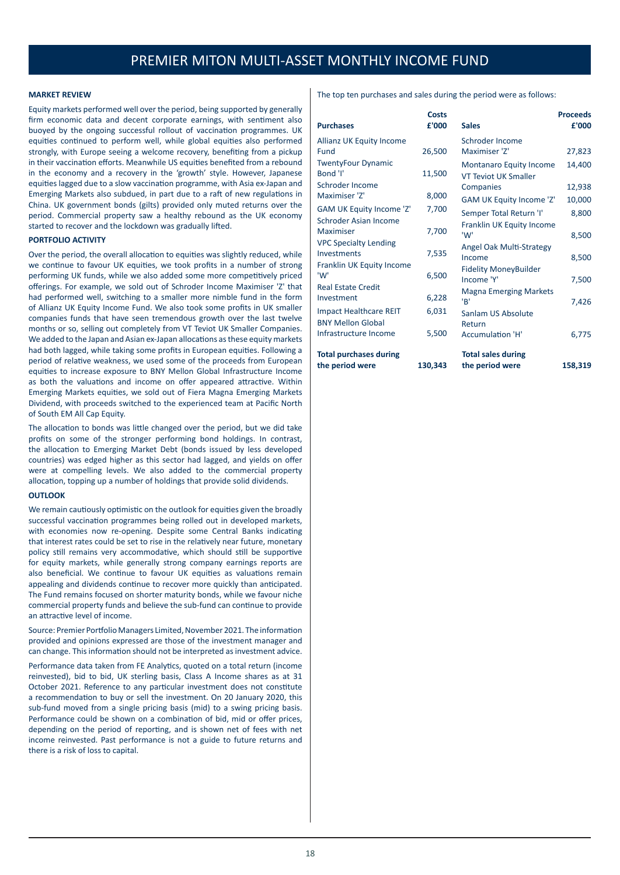#### **MARKET REVIEW**

Equity markets performed well over the period, being supported by generally firm economic data and decent corporate earnings, with sentiment also buoyed by the ongoing successful rollout of vaccination programmes. UK equities continued to perform well, while global equities also performed strongly, with Europe seeing a welcome recovery, benefiting from a pickup in their vaccination efforts. Meanwhile US equities benefited from a rebound in the economy and a recovery in the 'growth' style. However, Japanese equities lagged due to a slow vaccination programme, with Asia ex-Japan and Emerging Markets also subdued, in part due to a raft of new regulations in China. UK government bonds (gilts) provided only muted returns over the period. Commercial property saw a healthy rebound as the UK economy started to recover and the lockdown was gradually lifted.

#### **PORTFOLIO ACTIVITY**

Over the period, the overall allocation to equities was slightly reduced, while we continue to favour UK equities, we took profits in a number of strong performing UK funds, while we also added some more competitively priced offerings. For example, we sold out of Schroder Income Maximiser 'Z' that had performed well, switching to a smaller more nimble fund in the form of Allianz UK Equity Income Fund. We also took some profits in UK smaller companies funds that have seen tremendous growth over the last twelve months or so, selling out completely from VT Teviot UK Smaller Companies. We added to the Japan and Asian ex-Japan allocations as these equity markets had both lagged, while taking some profits in European equities. Following a period of relative weakness, we used some of the proceeds from European equities to increase exposure to BNY Mellon Global Infrastructure Income as both the valuations and income on offer appeared attractive. Within Emerging Markets equities, we sold out of Fiera Magna Emerging Markets Dividend, with proceeds switched to the experienced team at Pacific North of South EM All Cap Equity.

The allocation to bonds was little changed over the period, but we did take profits on some of the stronger performing bond holdings. In contrast, the allocation to Emerging Market Debt (bonds issued by less developed countries) was edged higher as this sector had lagged, and yields on offer were at compelling levels. We also added to the commercial property allocation, topping up a number of holdings that provide solid dividends.

#### **OUTLOOK**

We remain cautiously optimistic on the outlook for equities given the broadly successful vaccination programmes being rolled out in developed markets, with economies now re-opening. Despite some Central Banks indicating that interest rates could be set to rise in the relatively near future, monetary policy still remains very accommodative, which should still be supportive for equity markets, while generally strong company earnings reports are also beneficial. We continue to favour UK equities as valuations remain appealing and dividends continue to recover more quickly than anticipated. The Fund remains focused on shorter maturity bonds, while we favour niche commercial property funds and believe the sub-fund can continue to provide an attractive level of income.

Source: Premier Portfolio Managers Limited, November 2021. The information provided and opinions expressed are those of the investment manager and can change. This information should not be interpreted as investment advice.

Performance data taken from FE Analytics, quoted on a total return (income reinvested), bid to bid, UK sterling basis, Class A Income shares as at 31 October 2021. Reference to any particular investment does not constitute a recommendation to buy or sell the investment. On 20 January 2020, this sub-fund moved from a single pricing basis (mid) to a swing pricing basis. Performance could be shown on a combination of bid, mid or offer prices, depending on the period of reporting, and is shown net of fees with net income reinvested. Past performance is not a guide to future returns and there is a risk of loss to capital.

The top ten purchases and sales during the period were as follows:

|                                  | Costs   |                                | <b>Proceeds</b> |
|----------------------------------|---------|--------------------------------|-----------------|
| <b>Purchases</b>                 | £'000   | <b>Sales</b>                   | £'000           |
| Allianz UK Equity Income         |         | Schroder Income                |                 |
| Fund                             | 26,500  | Maximiser '7'                  | 27,823          |
| <b>TwentyFour Dynamic</b>        |         | <b>Montanaro Equity Income</b> | 14.400          |
| Bond 'I'                         | 11,500  | <b>VT Teviot UK Smaller</b>    |                 |
| Schroder Income                  |         | Companies                      | 12,938          |
| Maximiser '7'                    | 8,000   | GAM UK Equity Income 'Z'       | 10,000          |
| <b>GAM UK Equity Income 'Z'</b>  | 7,700   | Semper Total Return 'I'        | 8,800           |
| Schroder Asian Income            |         | Franklin UK Equity Income      |                 |
| Maximiser                        | 7,700   | 'W'                            | 8,500           |
| <b>VPC Specialty Lending</b>     |         | Angel Oak Multi-Strategy       |                 |
| Investments                      | 7,535   | Income                         | 8,500           |
| Franklin UK Equity Income<br>'W' |         | Fidelity MoneyBuilder          |                 |
| <b>Real Estate Credit</b>        | 6,500   | Income 'Y'                     | 7,500           |
| Investment                       | 6,228   | <b>Magna Emerging Markets</b>  |                 |
|                                  |         | 'B'                            | 7,426           |
| <b>Impact Healthcare REIT</b>    | 6,031   | Sanlam US Absolute             |                 |
| <b>BNY Mellon Global</b>         |         | Return                         |                 |
| Infrastructure Income            | 5,500   | <b>Accumulation 'H'</b>        | 6,775           |
| <b>Total purchases during</b>    |         | <b>Total sales during</b>      |                 |
| the period were                  | 130,343 | the period were                | 158,319         |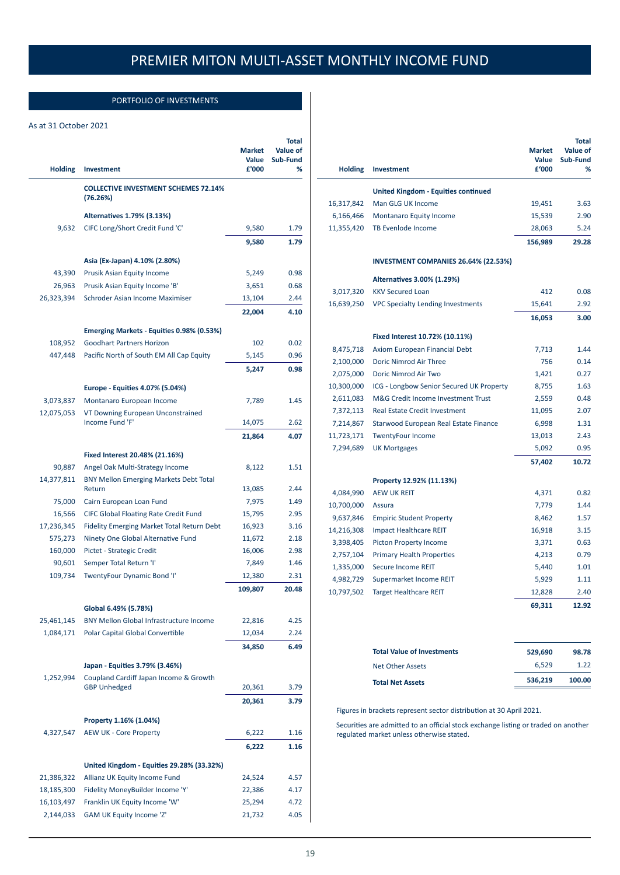## PORTFOLIO OF INVESTMENTS

## As at 31 October 2021

|                |                                                                               | <b>Market</b><br>Value | Total<br>Value of<br>Sub-Fund |
|----------------|-------------------------------------------------------------------------------|------------------------|-------------------------------|
| <b>Holding</b> | <b>Investment</b>                                                             | £'000                  | ℅                             |
|                | <b>COLLECTIVE INVESTMENT SCHEMES 72.14%</b><br>(76.26%)                       |                        |                               |
|                | Alternatives 1.79% (3.13%)                                                    |                        |                               |
| 9,632          | CIFC Long/Short Credit Fund 'C'                                               | 9,580                  | 1.79                          |
|                |                                                                               | 9,580                  | 1.79                          |
|                | Asia (Ex-Japan) 4.10% (2.80%)                                                 |                        |                               |
| 43,390         | Prusik Asian Equity Income                                                    | 5,249                  | 0.98                          |
| 26,963         | Prusik Asian Equity Income 'B'                                                | 3,651                  | 0.68                          |
| 26,323,394     | Schroder Asian Income Maximiser                                               | 13,104                 | 2.44                          |
|                |                                                                               | 22,004                 | 4.10                          |
|                |                                                                               |                        |                               |
| 108,952        | Emerging Markets - Equities 0.98% (0.53%)<br><b>Goodhart Partners Horizon</b> | 102                    | 0.02                          |
| 447,448        | Pacific North of South EM All Cap Equity                                      | 5,145                  | 0.96                          |
|                |                                                                               | 5,247                  | 0.98                          |
|                |                                                                               |                        |                               |
|                | Europe - Equities 4.07% (5.04%)                                               |                        |                               |
| 3,073,837      | Montanaro European Income                                                     | 7,789                  | 1.45                          |
| 12,075,053     | VT Downing European Unconstrained<br>Income Fund 'F'                          | 14,075                 | 2.62                          |
|                |                                                                               | 21,864                 | 4.07                          |
|                |                                                                               |                        |                               |
|                | Fixed Interest 20.48% (21.16%)                                                |                        |                               |
| 90,887         | Angel Oak Multi-Strategy Income                                               | 8,122                  | 1.51                          |
| 14,377,811     | <b>BNY Mellon Emerging Markets Debt Total</b><br>Return                       | 13,085                 | 2.44                          |
| 75,000         | Cairn European Loan Fund                                                      | 7,975                  | 1.49                          |
| 16,566         | <b>CIFC Global Floating Rate Credit Fund</b>                                  | 15,795                 | 2.95                          |
| 17,236,345     | <b>Fidelity Emerging Market Total Return Debt</b>                             | 16,923                 | 3.16                          |
| 575,273        | Ninety One Global Alternative Fund                                            | 11,672                 | 2.18                          |
| 160,000        | Pictet - Strategic Credit                                                     | 16,006                 | 2.98                          |
| 90,601         | Semper Total Return 'I'                                                       | 7,849                  | 1.46                          |
| 109,734        | TwentyFour Dynamic Bond 'I'                                                   | 12,380                 | 2.31                          |
|                |                                                                               | 109,807                | 20.48                         |
|                | Global 6.49% (5.78%)                                                          |                        |                               |
| 25,461,145     | <b>BNY Mellon Global Infrastructure Income</b>                                | 22,816                 | 4.25                          |
| 1,084,171      | Polar Capital Global Convertible                                              | 12,034                 | 2.24                          |
|                |                                                                               | 34,850                 | 6.49                          |
|                | Japan - Equities 3.79% (3.46%)                                                |                        |                               |
| 1,252,994      | Coupland Cardiff Japan Income & Growth                                        |                        |                               |
|                | <b>GBP Unhedged</b>                                                           | 20,361                 | 3.79                          |
|                |                                                                               | 20,361                 | 3.79                          |
|                | Property 1.16% (1.04%)                                                        |                        |                               |
| 4,327,547      | <b>AEW UK - Core Property</b>                                                 | 6,222                  | 1.16                          |
|                |                                                                               | 6,222                  | 1.16                          |
|                |                                                                               |                        |                               |
|                | United Kingdom - Equities 29.28% (33.32%)                                     |                        |                               |
| 21,386,322     | Allianz UK Equity Income Fund                                                 | 24,524                 | 4.57                          |
| 18,185,300     | Fidelity MoneyBuilder Income 'Y'                                              | 22,386                 | 4.17                          |
| 16,103,497     | Franklin UK Equity Income 'W'                                                 | 25,294                 | 4.72                          |
| 2,144,033      | GAM UK Equity Income 'Z'                                                      | 21,732                 | 4.05                          |

| <b>Holding</b> | <b>Investment</b>                           | <b>Market</b><br>Value<br>£'000 | <b>Total</b><br>Value of<br>Sub-Fund<br>% |
|----------------|---------------------------------------------|---------------------------------|-------------------------------------------|
|                | <b>United Kingdom - Equities continued</b>  |                                 |                                           |
| 16,317,842     | Man GLG UK Income                           | 19,451                          | 3.63                                      |
| 6,166,466      | Montanaro Equity Income                     | 15,539                          | 2.90                                      |
| 11,355,420     | <b>TB Evenlode Income</b>                   | 28,063                          | 5.24                                      |
|                |                                             | 156,989                         | 29.28                                     |
|                | <b>INVESTMENT COMPANIES 26.64% (22.53%)</b> |                                 |                                           |
|                | Alternatives 3.00% (1.29%)                  |                                 |                                           |
| 3,017,320      | <b>KKV Secured Loan</b>                     | 412                             | 0.08                                      |
| 16,639,250     | <b>VPC Specialty Lending Investments</b>    | 15,641                          | 2.92                                      |
|                |                                             | 16,053                          | 3.00                                      |
|                | Fixed Interest 10.72% (10.11%)              |                                 |                                           |
| 8,475,718      | Axiom European Financial Debt               | 7,713                           | 1.44                                      |
| 2,100,000      | Doric Nimrod Air Three                      | 756                             | 0.14                                      |
| 2,075,000      | Doric Nimrod Air Two                        | 1,421                           | 0.27                                      |
| 10,300,000     | ICG - Longbow Senior Secured UK Property    | 8,755                           | 1.63                                      |
| 2,611,083      | M&G Credit Income Investment Trust          | 2,559                           | 0.48                                      |
| 7,372,113      | Real Estate Credit Investment               | 11,095                          | 2.07                                      |
| 7,214,867      | Starwood European Real Estate Finance       | 6,998                           | 1.31                                      |
| 11,723,171     | <b>TwentyFour Income</b>                    | 13,013                          | 2.43                                      |
| 7,294,689      | <b>UK Mortgages</b>                         | 5,092                           | 0.95                                      |
|                |                                             | 57,402                          | 10.72                                     |
|                | Property 12.92% (11.13%)                    |                                 |                                           |
| 4,084,990      | <b>AEW UK REIT</b>                          | 4,371                           | 0.82                                      |
| 10,700,000     | Assura                                      | 7,779                           | 1.44                                      |
| 9,637,846      | <b>Empiric Student Property</b>             | 8,462                           | 1.57                                      |
| 14,216,308     | <b>Impact Healthcare REIT</b>               | 16,918                          | 3.15                                      |
| 3,398,405      | <b>Picton Property Income</b>               | 3,371                           | 0.63                                      |
| 2,757,104      | <b>Primary Health Properties</b>            | 4,213                           | 0.79                                      |
| 1,335,000      | Secure Income REIT                          | 5,440                           | 1.01                                      |
| 4,982,729      | Supermarket Income REIT                     | 5,929                           | 1.11                                      |
| 10,797,502     | <b>Target Healthcare REIT</b>               | 12,828                          | 2.40                                      |
|                |                                             | 69,311                          | 12.92                                     |

| <b>Total Net Assets</b>           | 536.219 | 100.00 |
|-----------------------------------|---------|--------|
| Net Other Assets                  | 6.529   | 1.22   |
| <b>Total Value of Investments</b> | 529.690 | 98.78  |

Figures in brackets represent sector distribution at 30 April 2021.

Securities are admitted to an official stock exchange listing or traded on another regulated market unless otherwise stated.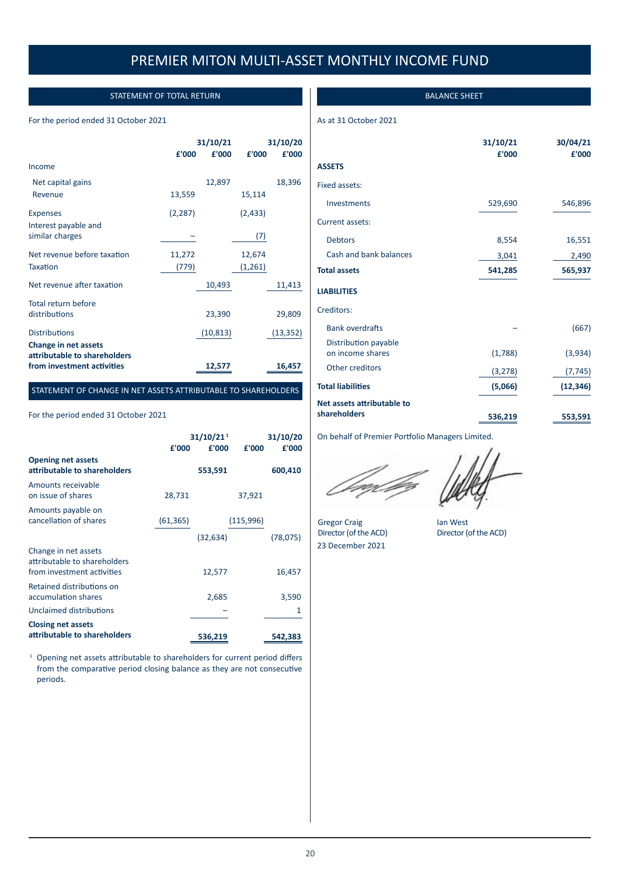## STATEMENT OF TOTAL RETURN

## For the period ended 31 October 2021

|                                                                                    | 31/10/21 |           | 31/10/20 |           |
|------------------------------------------------------------------------------------|----------|-----------|----------|-----------|
|                                                                                    | £'000    | £'000     | £'000    | £'000     |
| Income                                                                             |          |           |          |           |
| Net capital gains                                                                  |          | 12,897    |          | 18,396    |
| Revenue                                                                            | 13,559   |           | 15,114   |           |
| <b>Expenses</b>                                                                    | (2, 287) |           | (2, 433) |           |
| Interest payable and<br>similar charges                                            |          |           | (7)      |           |
| Net revenue before taxation                                                        | 11,272   |           | 12,674   |           |
| Taxation                                                                           | (779)    |           | (1,261)  |           |
| Net revenue after taxation                                                         |          | 10,493    |          | 11,413    |
| Total return before<br>distributions                                               |          | 23,390    |          | 29,809    |
| <b>Distributions</b>                                                               |          | (10, 813) |          | (13, 352) |
| Change in net assets<br>attributable to shareholders<br>from investment activities |          | 12.57     |          | 16.457    |

## STATEMENT OF CHANGE IN NET ASSETS ATTRIBUTABLE TO SHAREHOLDERS

## For the period ended 31 October 2021

|                                                                                    | £'000     | 31/10/21 <sup>1</sup><br>£'000 | £'000     | 31/10/20<br>£'000 |
|------------------------------------------------------------------------------------|-----------|--------------------------------|-----------|-------------------|
| <b>Opening net assets</b><br>attributable to shareholders                          |           | 553,591                        |           | 600,410           |
| Amounts receivable<br>on issue of shares                                           | 28,731    |                                | 37,921    |                   |
| Amounts payable on<br>cancellation of shares                                       | (61, 365) |                                | (115,996) |                   |
|                                                                                    |           | (32, 634)                      |           | (78, 075)         |
| Change in net assets<br>attributable to shareholders<br>from investment activities |           | 12,577                         |           | 16,457            |
| Retained distributions on<br>accumulation shares                                   |           | 2,685                          |           | 3,590             |
| Unclaimed distributions                                                            |           |                                |           |                   |
| <b>Closing net assets</b>                                                          |           |                                |           |                   |
| attributable to shareholders                                                       |           | 536,219                        |           | 542,383           |

<sup>1</sup> Opening net assets attributable to shareholders for current period differs from the comparative period closing balance as they are not consecutive periods.

## BALANCE SHEET

## As at 31 October 2021

|                                          | 31/10/21<br>£'000 | 30/04/21<br>£'000 |
|------------------------------------------|-------------------|-------------------|
| <b>ASSETS</b>                            |                   |                   |
| Fixed assets:                            |                   |                   |
| Investments                              | 529,690           | 546,896           |
| Current assets:                          |                   |                   |
| <b>Debtors</b>                           | 8,554             | 16,551            |
| Cash and bank balances                   | 3,041             | 2,490             |
| <b>Total assets</b>                      | 541,285           | 565,937           |
| <b>LIABILITIES</b>                       |                   |                   |
| Creditors:                               |                   |                   |
| <b>Bank overdrafts</b>                   |                   | (667)             |
| Distribution payable<br>on income shares | (1,788)           | (3,934)           |
| Other creditors                          | (3, 278)          | (7, 745)          |
| <b>Total liabilities</b>                 | (5,066)           | (12, 346)         |
| Net assets attributable to               |                   |                   |
| shareholders                             | 536,219           | 553,591           |

On behalf of Premier Portfolio Managers Limited.

Gregor Craig **Ian West** Director (of the ACD) Director (of the ACD) 23 December 2021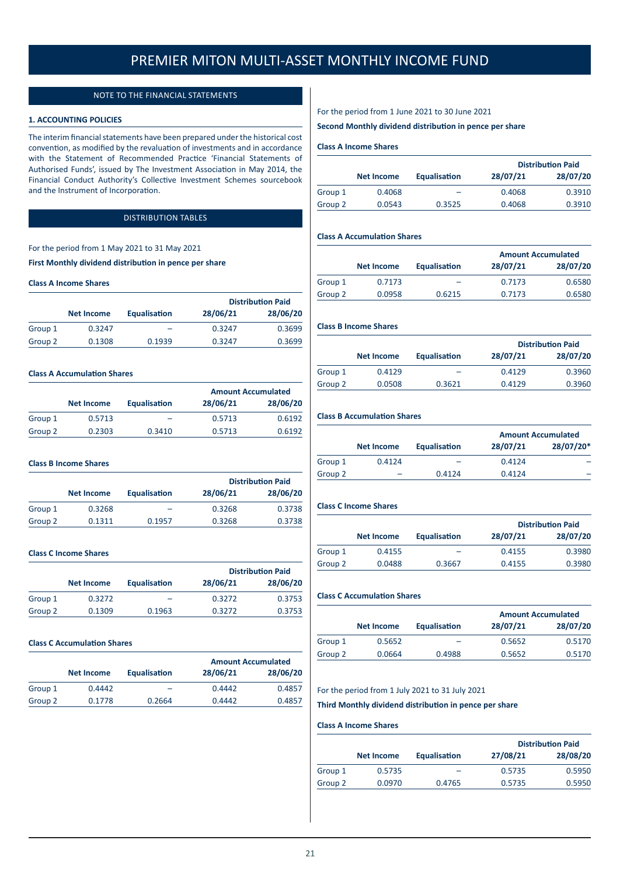## NOTE TO THE FINANCIAL STATEMENTS

### **1. ACCOUNTING POLICIES**

The interim financial statements have been prepared under the historical cost convention, as modified by the revaluation of investments and in accordance with the Statement of Recommended Practice 'Financial Statements of Authorised Funds', issued by The Investment Association in May 2014, the Financial Conduct Authority's Collective Investment Schemes sourcebook and the Instrument of Incorporation.

## DISTRIBUTION TABLES

## For the period from 1 May 2021 to 31 May 2021

**First Monthly dividend distribution in pence per share**

## **Class A Income Shares**

|         |                   |              |          | <b>Distribution Paid</b> |
|---------|-------------------|--------------|----------|--------------------------|
|         | <b>Net Income</b> | Equalisation | 28/06/21 | 28/06/20                 |
| Group 1 | 0.3247            | -            | 0.3247   | 0.3699                   |
| Group 2 | 0.1308            | 0.1939       | 0.3247   | 0.3699                   |

#### **Class A Accumulation Shares**

|         |                   |                     |          | <b>Amount Accumulated</b> |
|---------|-------------------|---------------------|----------|---------------------------|
|         | <b>Net Income</b> | <b>Equalisation</b> | 28/06/21 | 28/06/20                  |
| Group 1 | 0.5713            | -                   | 0.5713   | 0.6192                    |
| Group 2 | 0.2303            | 0.3410              | 0.5713   | 0.6192                    |

#### **Class B Income Shares**

|         |                   |                     |          |          | <b>Distribution Paid</b> |
|---------|-------------------|---------------------|----------|----------|--------------------------|
|         | <b>Net Income</b> | <b>Equalisation</b> | 28/06/21 | 28/06/20 |                          |
| Group 1 | 0.3268            |                     | 0.3268   | 0.3738   |                          |
| Group 2 | 0.1311            | 0.1957              | 0.3268   | 0.3738   |                          |

## **Class C Income Shares**

|         |                   |              | <b>Distribution Paid</b> |          |
|---------|-------------------|--------------|--------------------------|----------|
|         | <b>Net Income</b> | Equalisation | 28/06/21                 | 28/06/20 |
| Group 1 | 0.3272            | -            | 0.3272                   | 0.3753   |
| Group 2 | 0.1309            | 0.1963       | 0.3272                   | 0.3753   |

## **Class C Accumulation Shares**

|         |                   |                     |          | <b>Amount Accumulated</b> |
|---------|-------------------|---------------------|----------|---------------------------|
|         | <b>Net Income</b> | <b>Equalisation</b> | 28/06/21 | 28/06/20                  |
| Group 1 | 0.4442            | -                   | 0.4442   | 0.4857                    |
| Group 2 | 0.1778            | 0.2664              | 0.4442   | 0.4857                    |

For the period from 1 June 2021 to 30 June 2021

## **Second Monthly dividend distribution in pence per share**

## **Class A Income Shares**

|                   |                     | <b>Distribution Paid</b> |          |
|-------------------|---------------------|--------------------------|----------|
| <b>Net Income</b> | <b>Equalisation</b> | 28/07/21                 | 28/07/20 |
| 0.4068            | -                   | 0.4068                   | 0.3910   |
| 0.0543            | 0.3525              | 0.4068                   | 0.3910   |
|                   |                     |                          |          |

## **Class A Accumulation Shares**

|         |                   |                     |          | <b>Amount Accumulated</b> |  |
|---------|-------------------|---------------------|----------|---------------------------|--|
|         | <b>Net Income</b> | <b>Equalisation</b> | 28/07/21 | 28/07/20                  |  |
| Group 1 | 0.7173            | -                   | 0.7173   | 0.6580                    |  |
| Group 2 | 0.0958            | 0.6215              | 0.7173   | 0.6580                    |  |

## **Class B Income Shares**

|         |                   |                     |          |          | <b>Distribution Paid</b> |
|---------|-------------------|---------------------|----------|----------|--------------------------|
|         | <b>Net Income</b> | <b>Equalisation</b> | 28/07/21 | 28/07/20 |                          |
| Group 1 | 0.4129            | -                   | 0.4129   | 0.3960   |                          |
| Group 2 | 0.0508            | 0.3621              | 0.4129   | 0.3960   |                          |
|         |                   |                     |          |          |                          |

### **Class B Accumulation Shares**

|         |                   |              | <b>Amount Accumulated</b> |           |
|---------|-------------------|--------------|---------------------------|-----------|
|         | <b>Net Income</b> | Equalisation | 28/07/21                  | 28/07/20* |
| Group 1 | 0.4124            |              | 0.4124                    | -         |
| Group 2 |                   | 0.4124       | 0.4124                    |           |

## **Class C Income Shares**

|         |                   |                     |          | <b>Distribution Paid</b> |
|---------|-------------------|---------------------|----------|--------------------------|
|         | <b>Net Income</b> | <b>Equalisation</b> | 28/07/21 | 28/07/20                 |
| Group 1 | 0.4155            |                     | 0.4155   | 0.3980                   |
| Group 2 | 0.0488            | 0.3667              | 0.4155   | 0.3980                   |

## **Class C Accumulation Shares**

|         |                   |                     | <b>Amount Accumulated</b> |          |
|---------|-------------------|---------------------|---------------------------|----------|
|         | <b>Net Income</b> | <b>Equalisation</b> | 28/07/21                  | 28/07/20 |
| Group 1 | 0.5652            |                     | 0.5652                    | 0.5170   |
| Group 2 | 0.0664            | 0.4988              | 0.5652                    | 0.5170   |
|         |                   |                     |                           |          |

### For the period from 1 July 2021 to 31 July 2021

**Third Monthly dividend distribution in pence per share**

#### **Class A Income Shares**

|         |                   |                     |          | <b>Distribution Paid</b> |
|---------|-------------------|---------------------|----------|--------------------------|
|         | <b>Net Income</b> | <b>Equalisation</b> | 27/08/21 | 28/08/20                 |
| Group 1 | 0.5735            |                     | 0.5735   | 0.5950                   |
| Group 2 | 0.0970            | 0.4765              | 0.5735   | 0.5950                   |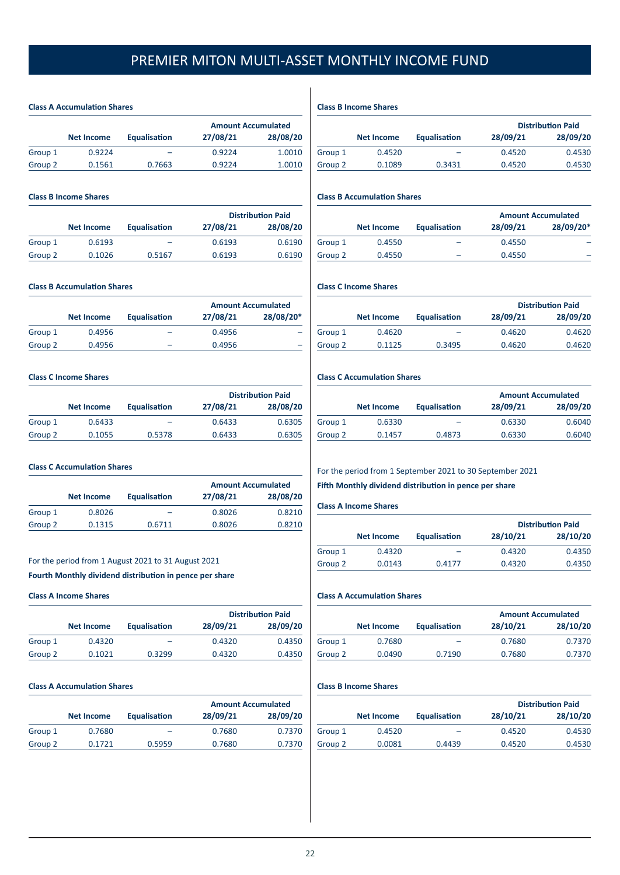## **Class A Accumulation Shares**

|         |                   |                     | <b>Amount Accumulated</b> |          |
|---------|-------------------|---------------------|---------------------------|----------|
|         | <b>Net Income</b> | <b>Equalisation</b> | 27/08/21                  | 28/08/20 |
| Group 1 | 0.9224            |                     | 0.9224                    | 1.0010   |
| Group 2 | 0.1561            | 0.7663              | 0.9224                    | 1.0010   |

## **Class B Income Shares**

|         |                   |                     |          | <b>Distribution Paid</b> |
|---------|-------------------|---------------------|----------|--------------------------|
|         | <b>Net Income</b> | <b>Equalisation</b> | 27/08/21 | 28/08/20                 |
| Group 1 | 0.6193            | -                   | 0.6193   | 0.6190                   |
| Group 2 | 0.1026            | 0.5167              | 0.6193   | 0.6190                   |

## **Class B Accumulation Shares**

|         |                   |              |          | <b>Amount Accumulated</b> |
|---------|-------------------|--------------|----------|---------------------------|
|         | <b>Net Income</b> | Equalisation | 27/08/21 | 28/08/20*                 |
| Group 1 | 0.4956            |              | 0.4956   |                           |
| Group 2 | 0.4956            | -            | 0.4956   |                           |

## **Class C Income Shares**

|         |                   |              |          | <b>Distribution Paid</b> |
|---------|-------------------|--------------|----------|--------------------------|
|         | <b>Net Income</b> | Equalisation | 27/08/21 | 28/08/20                 |
| Group 1 | 0.6433            |              | 0.6433   | 0.6305                   |
| Group 2 | 0.1055            | 0.5378       | 0.6433   | 0.6305                   |

## **Class C Accumulation Shares**

|         |                   |              |          | <b>Amount Accumulated</b> |
|---------|-------------------|--------------|----------|---------------------------|
|         | <b>Net Income</b> | Equalisation | 27/08/21 | 28/08/20                  |
| Group 1 | 0.8026            | -            | 0.8026   | 0.8210                    |
| Group 2 | 0.1315            | 0.6711       | 0.8026   | 0.8210                    |

## For the period from 1 August 2021 to 31 August 2021

## **Fourth Monthly dividend distribution in pence per share**

## **Class A Income Shares**

|         |                   |              |          | <b>Distribution Paid</b> |
|---------|-------------------|--------------|----------|--------------------------|
|         | <b>Net Income</b> | Equalisation | 28/09/21 | 28/09/20                 |
| Group 1 | 0.4320            |              | 0.4320   | 0.4350                   |
| Group 2 | 0.1021            | 0.3299       | 0.4320   | 0.4350                   |

### **Class A Accumulation Shares**

|         |                   |                     |          | <b>Amount Accumulated</b> |
|---------|-------------------|---------------------|----------|---------------------------|
|         | <b>Net Income</b> | <b>Equalisation</b> | 28/09/21 | 28/09/20                  |
| Group 1 | 0.7680            |                     | 0.7680   | 0.7370                    |
| Group 2 | 0.1721            | 0.5959              | 0.7680   | 0.7370                    |

**Class B Income Shares**

|         |                   |              |          | <b>Distribution Paid</b> |
|---------|-------------------|--------------|----------|--------------------------|
|         | <b>Net Income</b> | Equalisation | 28/09/21 | 28/09/20                 |
| Group 1 | 0.4520            |              | 0.4520   | 0.4530                   |
| Group 2 | 0.1089            | 0.3431       | 0.4520   | 0.4530                   |
|         |                   |              |          |                          |

## **Class B Accumulation Shares**

|         |                   |              |          | <b>Amount Accumulated</b> |
|---------|-------------------|--------------|----------|---------------------------|
|         | <b>Net Income</b> | Equalisation | 28/09/21 | 28/09/20*                 |
| Group 1 | 0.4550            | -            | 0.4550   |                           |
| Group 2 | 0.4550            |              | 0.4550   |                           |

## **Class C Income Shares**

|         |                   |                     |          | <b>Distribution Paid</b> |
|---------|-------------------|---------------------|----------|--------------------------|
|         | <b>Net Income</b> | <b>Equalisation</b> | 28/09/21 | 28/09/20                 |
| Group 1 | 0.4620            | -                   | 0.4620   | 0.4620                   |
| Group 2 | 0.1125            | 0.3495              | 0.4620   | 0.4620                   |

## **Class C Accumulation Shares**

|         |                   |                     | <b>Amount Accumulated</b> |          |
|---------|-------------------|---------------------|---------------------------|----------|
|         | <b>Net Income</b> | <b>Equalisation</b> | 28/09/21                  | 28/09/20 |
| Group 1 | 0.6330            |                     | 0.6330                    | 0.6040   |
| Group 2 | 0.1457            | 0.4873              | 0.6330                    | 0.6040   |

## For the period from 1 September 2021 to 30 September 2021

## **Fifth Monthly dividend distribution in pence per share**

## **Class A Income Shares**

|         |                   |                     |          | <b>Distribution Paid</b> |
|---------|-------------------|---------------------|----------|--------------------------|
|         | <b>Net Income</b> | <b>Equalisation</b> | 28/10/21 | 28/10/20                 |
| Group 1 | 0.4320            |                     | 0.4320   | 0.4350                   |
| Group 2 | 0.0143            | 0.4177              | 0.4320   | 0.4350                   |

## **Class A Accumulation Shares**

|         |                   |                     | <b>Amount Accumulated</b> |          |
|---------|-------------------|---------------------|---------------------------|----------|
|         | <b>Net Income</b> | <b>Equalisation</b> | 28/10/21                  | 28/10/20 |
| Group 1 | 0.7680            |                     | 0.7680                    | 0.7370   |
| Group 2 | 0.0490            | 0.7190              | 0.7680                    | 0.7370   |
|         |                   |                     |                           |          |

## **Class B Income Shares**

|         |                   |                     |          | <b>Distribution Paid</b> |
|---------|-------------------|---------------------|----------|--------------------------|
|         | <b>Net Income</b> | <b>Equalisation</b> | 28/10/21 | 28/10/20                 |
| Group 1 | 0.4520            |                     | 0.4520   | 0.4530                   |
| Group 2 | 0.0081            | 0.4439              | 0.4520   | 0.4530                   |